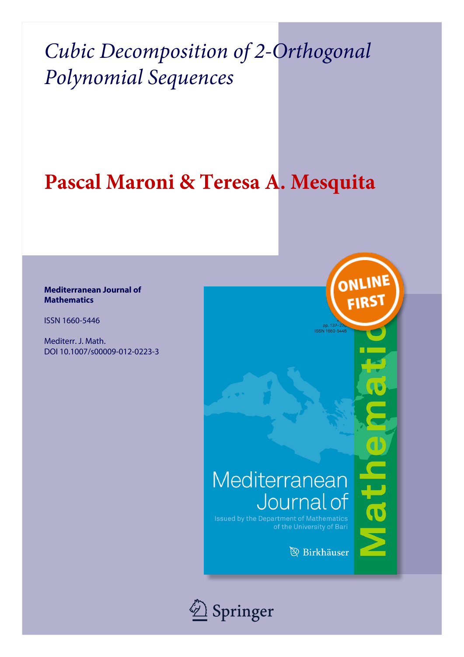## Pascal Maroni & Teresa A. Mesquita

### **Mediterranean Journal of Mathematics**

**ISSN 1660-5446** 

Mediterr. J. Math. DOI 10.1007/s00009-012-0223-3

## Mediterranean Journal of

**Issued by the Department of Mathematics** of the University of Bari

**B** Birkhäuser

ONLIN

FIRS

athe

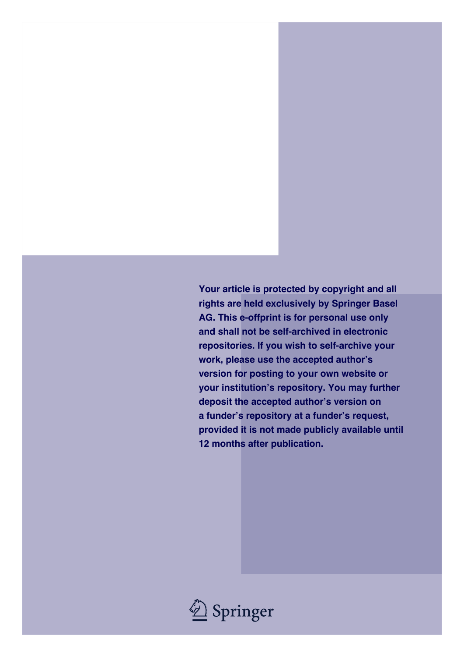**Your article is protected by copyright and all rights are held exclusively by Springer Basel AG. This e-offprint is for personal use only and shall not be self-archived in electronic repositories. If you wish to self-archive your work, please use the accepted author's version for posting to your own website or your institution's repository. You may further deposit the accepted author's version on a funder's repository at a funder's request, provided it is not made publicly available until 12 months after publication.**

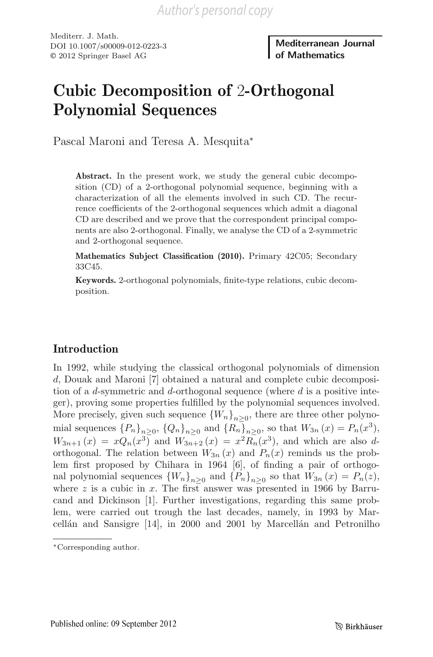Mediterr. J. Math. DOI 10.1007/s00009-012-0223-3 © 2012 Springer Basel AG

Mediterranean Journal of Mathematics

## Cubic Decomposition of 2-Orthogonal Polynomial Sequences

Pascal Maroni and Teresa A. Mesquita<sup>∗</sup>

Abstract. In the present work, we study the general cubic decomposition (CD) of a 2-orthogonal polynomial sequence, beginning with a characterization of all the elements involved in such CD. The recurrence coefficients of the 2-orthogonal sequences which admit a diagonal CD are described and we prove that the correspondent principal components are also 2-orthogonal. Finally, we analyse the CD of a 2-symmetric and 2-orthogonal sequence.

Mathematics Subject Classification (2010). Primary 42C05; Secondary 33C45.

Keywords. 2-orthogonal polynomials, finite-type relations, cubic decomposition.

### Introduction

In 1992, while studying the classical orthogonal polynomials of dimension d, Douak and Maroni [7] obtained a natural and complete cubic decomposition of a d-symmetric and d-orthogonal sequence (where  $d$  is a positive integer), proving some properties fulfilled by the polynomial sequences involved. More precisely, given such sequence  ${W_n}_{n>0}$ , there are three other polynomial sequences  ${P_n}_{n>0}$ ,  ${Q_n}_{n>0}$  and  ${R_n}_{n>0}$ , so that  $W_{3n}(x) = P_n(x^3)$ ,  $W_{3n+1}(x) = xQ_n(x^3)$  and  $W_{3n+2}(x) = x^2R_n(x^3)$ , and which are also dorthogonal. The relation between  $W_{3n}(x)$  and  $P_n(x)$  reminds us the problem first proposed by Chihara in 1964 [6], of finding a pair of orthogonal polynomial sequences  ${W_n}_{n>0}$  and  ${P_n}_{n>0}$  so that  $W_{3n}(x) = P_n(z)$ , where  $z$  is a cubic in x. The first answer was presented in 1966 by Barrucand and Dickinson [1]. Further investigations, regarding this same problem, were carried out trough the last decades, namely, in 1993 by Marcellán and Sansigre  $[14]$ , in 2000 and 2001 by Marcellán and Petronilho

<sup>∗</sup>Corresponding author.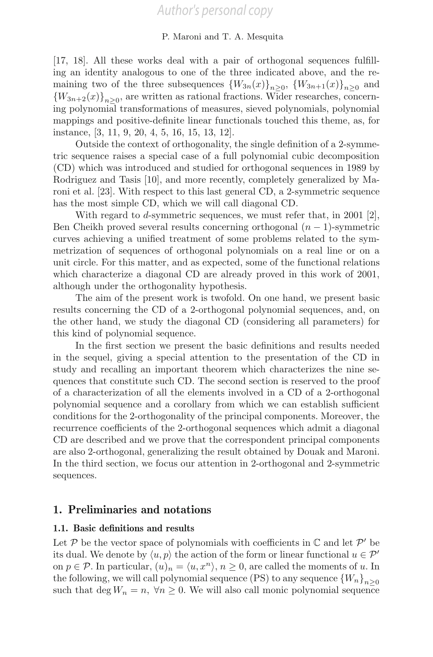[17, 18]. All these works deal with a pair of orthogonal sequences fulfilling an identity analogous to one of the three indicated above, and the remaining two of the three subsequences  ${W_{3n}(x)}_{n>0}$ ,  ${W_{3n+1}(x)}_{n>0}$  and  ${W_{3n+2}(x)}_{n\geq 0}$ , are written as rational fractions. Wider researches, concerning polynomial transformations of measures, sieved polynomials, polynomial mappings and positive-definite linear functionals touched this theme, as, for instance, [3, 11, 9, 20, 4, 5, 16, 15, 13, 12].

Outside the context of orthogonality, the single definition of a 2-symmetric sequence raises a special case of a full polynomial cubic decomposition (CD) which was introduced and studied for orthogonal sequences in 1989 by Rodriguez and Tasis [10], and more recently, completely generalized by Maroni et al. [23]. With respect to this last general CD, a 2-symmetric sequence has the most simple CD, which we will call diagonal CD.

With regard to d-symmetric sequences, we must refer that, in 2001 [2], Ben Cheikh proved several results concerning orthogonal  $(n-1)$ -symmetric curves achieving a unified treatment of some problems related to the symmetrization of sequences of orthogonal polynomials on a real line or on a unit circle. For this matter, and as expected, some of the functional relations which characterize a diagonal CD are already proved in this work of 2001, although under the orthogonality hypothesis.

The aim of the present work is twofold. On one hand, we present basic results concerning the CD of a 2-orthogonal polynomial sequences, and, on the other hand, we study the diagonal CD (considering all parameters) for this kind of polynomial sequence.

In the first section we present the basic definitions and results needed in the sequel, giving a special attention to the presentation of the CD in study and recalling an important theorem which characterizes the nine sequences that constitute such CD. The second section is reserved to the proof of a characterization of all the elements involved in a CD of a 2-orthogonal polynomial sequence and a corollary from which we can establish sufficient conditions for the 2-orthogonality of the principal components. Moreover, the recurrence coefficients of the 2-orthogonal sequences which admit a diagonal CD are described and we prove that the correspondent principal components are also 2-orthogonal, generalizing the result obtained by Douak and Maroni. In the third section, we focus our attention in 2-orthogonal and 2-symmetric sequences.

### 1. Preliminaries and notations

### 1.1. Basic definitions and results

Let  $P$  be the vector space of polynomials with coefficients in  $\mathbb C$  and let  $P'$  be its dual. We denote by  $\langle u, p \rangle$  the action of the form or linear functional  $u \in \mathcal{P}'$ on  $p \in \mathcal{P}$ . In particular,  $(u)_n = \langle u, x^n \rangle$ ,  $n \geq 0$ , are called the moments of u. In the following, we will call polynomial sequence (PS) to any sequence  ${W_n}_{n>0}$ such that deg  $W_n = n$ ,  $\forall n \geq 0$ . We will also call monic polynomial sequence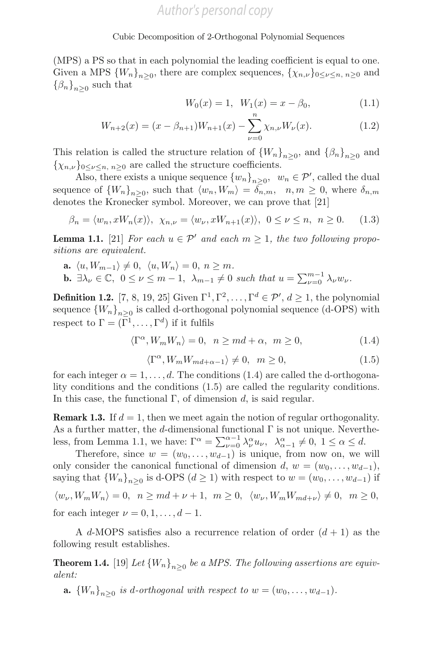(MPS) a PS so that in each polynomial the leading coefficient is equal to one. Given a MPS  ${W_n}_{n>0}$ , there are complex sequences,  $\{\chi_{n,\nu}\}_{0\leq \nu \leq n, n\geq 0}$  and  $\{\beta_n\}_{n>0}$  such that

$$
W_0(x) = 1, \ W_1(x) = x - \beta_0,
$$
 (1.1)

$$
W_{n+2}(x) = (x - \beta_{n+1})W_{n+1}(x) - \sum_{\nu=0}^{n} \chi_{n,\nu} W_{\nu}(x).
$$
 (1.2)

This relation is called the structure relation of  ${W_n}_{n>0}$ , and  ${\beta_n}_{n>0}$  and  $\{\chi_{n,\nu}\}\_{0\leq \nu\leq n,\;n\geq 0}$  are called the structure coefficients.

Also, there exists a unique sequence  ${w_n}_{n\geq 0}$ ,  $w_n \in \mathcal{P}'$ , called the dual sequence of  ${W_n}_{n>0}$ , such that  $\langle w_n, W_m \rangle = \overline{\delta_{n,m}}, n, m \geq 0$ , where  $\delta_{n,m}$ denotes the Kronecker symbol. Moreover, we can prove that [21]

$$
\beta_n = \langle w_n, xW_n(x) \rangle, \ \chi_{n,\nu} = \langle w_\nu, xW_{n+1}(x) \rangle, \ 0 \le \nu \le n, \ n \ge 0. \tag{1.3}
$$

**Lemma 1.1.** [21] For each  $u \in \mathcal{P}'$  and each  $m \geq 1$ , the two following propositions are equivalent.

a.  $\langle u, W_{m-1} \rangle \neq 0, \langle u, W_n \rangle = 0, n \geq m$ . **b.**  $\exists \lambda_{\nu} \in \mathbb{C}, 0 \leq \nu \leq m-1, \lambda_{m-1} \neq 0 \text{ such that } u = \sum_{\nu=0}^{m-1} \lambda_{\nu} w_{\nu}.$ 

**Definition 1.2.** [7, 8, 19, 25] Given  $\Gamma^1, \Gamma^2, \ldots, \Gamma^d \in \mathcal{P}'$ ,  $d \ge 1$ , the polynomial sequence  ${W_n}_{n>0}$  is called d-orthogonal polynomial sequence (d-OPS) with respect to  $\Gamma = (\overline{\Gamma}^1, \ldots, \Gamma^d)$  if it fulfils

$$
\langle \Gamma^{\alpha}, W_m W_n \rangle = 0, \ \ n \ge md + \alpha, \ \ m \ge 0,
$$
\n(1.4)

$$
\langle \Gamma^{\alpha}, W_m W_{md+\alpha-1} \rangle \neq 0, \quad m \ge 0,
$$
\n(1.5)

for each integer  $\alpha = 1, \ldots, d$ . The conditions (1.4) are called the d-orthogonality conditions and the conditions (1.5) are called the regularity conditions. In this case, the functional  $\Gamma$ , of dimension d, is said regular.

**Remark 1.3.** If  $d = 1$ , then we meet again the notion of regular orthogonality. As a further matter, the d-dimensional functional  $\Gamma$  is not unique. Nevertheless, from Lemma 1.1, we have:  $\Gamma^{\alpha} = \sum_{\nu=0}^{\alpha-1} \lambda_{\nu}^{\alpha} u_{\nu}, \quad \lambda_{\alpha-1}^{\alpha} \neq 0, \quad 1 \leq \alpha \leq d.$ 

Therefore, since  $w = (w_0, \ldots, w_{d-1})$  is unique, from now on, we will only consider the canonical functional of dimension  $d, w = (w_0, \ldots, w_{d-1}),$ saying that  ${W_n}_{n>0}$  is d-OPS  $(d \ge 1)$  with respect to  $w = (w_0, \ldots, w_{d-1})$  if

$$
\langle w_{\nu}, W_m W_n \rangle = 0, \quad n \ge md + \nu + 1, \quad m \ge 0, \quad \langle w_{\nu}, W_m W_{md+\nu} \rangle \ne 0, \quad m \ge 0,
$$
  
for each integer  $\nu = 0, 1, ..., d-1$ .

A d-MOPS satisfies also a recurrence relation of order  $(d + 1)$  as the following result establishes.

**Theorem 1.4.** [19] Let  ${W_n}_{n>0}$  be a MPS. The following assertions are equivalent:

a.  ${W_n}_{n>0}$  is d-orthogonal with respect to  $w = (w_0, \ldots, w_{d-1})$ .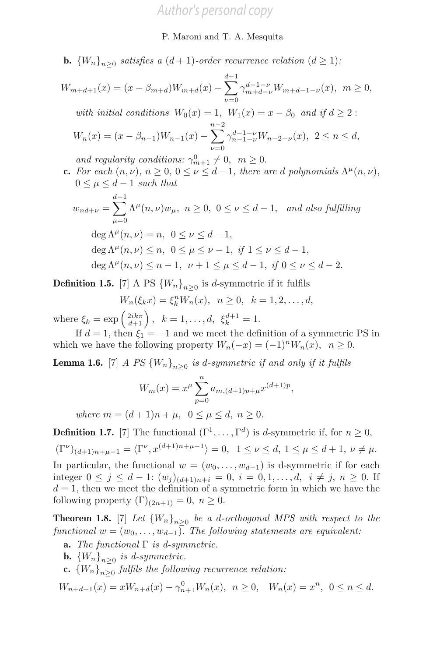**b.**  ${W_n}_{n\geq 0}$  satisfies a  $(d+1)$ -order recurrence relation  $(d \geq 1)$ :

$$
W_{m+d+1}(x) = (x - \beta_{m+d})W_{m+d}(x) - \sum_{\nu=0}^{d-1} \gamma_{m+d-\nu}^{d-1-\nu} W_{m+d-1-\nu}(x), \quad m \ge 0,
$$
  
with initial conditions  $W_0(x) = 1$ ,  $W_1(x) = x - \beta_0$  and if  $d \ge 2$ :  

$$
W_n(x) = (x - \beta_{n-1})W_{n-1}(x) - \sum_{\nu=0}^{n-2} \gamma_{n-1-\nu}^{d-1-\nu} W_{n-2-\nu}(x), \quad 2 \le n \le d,
$$

and regularity conditions:  $\gamma_{m+1}^0 \neq 0, \quad m \geq 0.$ 

c. For each  $(n, \nu)$ ,  $n \geq 0$ ,  $0 \leq \nu \leq d-1$ , there are d polynomials  $\Lambda^{\mu}(n, \nu)$ ,  $0 \leq \mu \leq d-1$  such that

$$
w_{nd+\nu} = \sum_{\mu=0}^{d-1} \Lambda^{\mu}(n,\nu) w_{\mu}, \ n \ge 0, \ 0 \le \nu \le d-1, \text{ and also fulfilling}
$$

$$
\deg \Lambda^{\mu}(n,\nu) = n, \ 0 \le \nu \le d-1,
$$

$$
\deg \Lambda^{\mu}(n, \nu) = n, \ 0 \le \nu \le a-1,
$$
  

$$
\deg \Lambda^{\mu}(n, \nu) \le n, \ 0 \le \mu \le \nu - 1, \ if \ 1 \le \nu \le d - 1,
$$
  

$$
\deg \Lambda^{\mu}(n, \nu) \le n - 1, \ \nu + 1 \le \mu \le d - 1, \ if \ 0 \le \nu \le d - 2.
$$

**Definition 1.5.** [7] A PS  ${W_n}_{n>0}$  is d-symmetric if it fulfils

$$
W_n(\xi_k x) = \xi_k^n W_n(x), \ \ n \ge 0, \ \ k = 1, 2, \dots, d,
$$

where  $\xi_k = \exp\left(\frac{2ik\pi}{d+1}\right)$ ,  $k = 1, ..., d$ ,  $\xi_k^{d+1} = 1$ .

If  $d = 1$ , then  $\xi_1 = -1$  and we meet the definition of a symmetric PS in which we have the following property  $W_n(-x)=(-1)^nW_n(x), n \geq 0$ .

**Lemma 1.6.** [7] A PS  ${W_n}_{n>0}$  is d-symmetric if and only if it fulfils

$$
W_m(x) = x^{\mu} \sum_{p=0}^{n} a_{m,(d+1)p+\mu} x^{(d+1)p},
$$

where  $m = (d+1)n + \mu$ ,  $0 \leq \mu \leq d$ ,  $n \geq 0$ .

**Definition 1.7.** [7] The functional  $(\Gamma^1, \ldots, \Gamma^d)$  is *d*-symmetric if, for  $n \geq 0$ ,

 $(\Gamma^{\nu})_{(d+1)n+\mu-1} = \langle \Gamma^{\nu}, x^{(d+1)n+\mu-1} \rangle = 0, \quad 1 \leq \nu \leq d, \quad 1 \leq \mu \leq d+1, \quad \nu \neq \mu.$ 

In particular, the functional  $w = (w_0, \ldots, w_{d-1})$  is d-symmetric if for each integer  $0 \le j \le d-1$ :  $(w_j)_{(d+1)n+i} = 0$ ,  $i = 0, 1, ..., d$ ,  $i \ne j$ ,  $n \ge 0$ . If  $d = 1$ , then we meet the definition of a symmetric form in which we have the following property  $(\Gamma)_{(2n+1)} = 0, n \geq 0.$ 

**Theorem 1.8.** [7] Let  ${W_n}_{n\geq 0}$  be a d-orthogonal MPS with respect to the functional  $w = (w_0, \ldots, w_{d-1})$ . The following statements are equivalent:

- **a.** The functional  $\Gamma$  is d-symmetric.
- **b.**  ${W_n}_{n>0}$  is d-symmetric.
- c.  ${W_n}_{n>0}$  fulfils the following recurrence relation:

 $W_{n+d+1}(x) = xW_{n+d}(x) - \gamma_{n+1}^0 W_n(x), \ \ n \ge 0, \ \ W_n(x) = x^n, \ \ 0 \le n \le d.$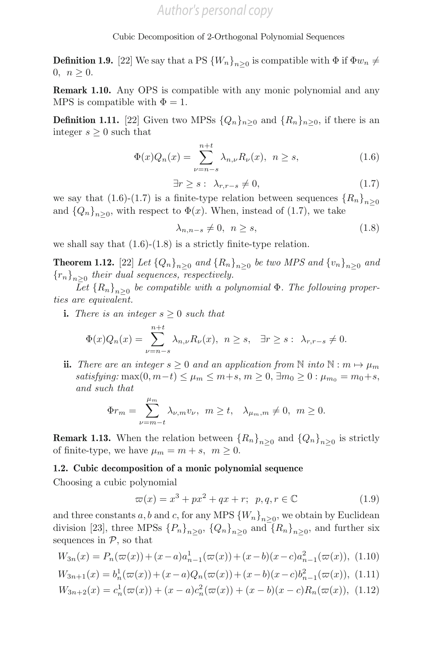**Definition 1.9.** [22] We say that a PS  ${W_n}_{n>0}$  is compatible with  $\Phi$  if  $\Phi w_n \neq$ 0,  $n \geq 0$ .

Remark 1.10. Any OPS is compatible with any monic polynomial and any MPS is compatible with  $\Phi = 1$ .

**Definition 1.11.** [22] Given two MPSs  $\{Q_n\}_{n>0}$  and  $\{R_n\}_{n>0}$ , if there is an integer  $s \geq 0$  such that

$$
\Phi(x)Q_n(x) = \sum_{\nu=n-s}^{n+t} \lambda_{n,\nu} R_{\nu}(x), \ \ n \ge s,
$$
\n(1.6)

$$
\exists r \ge s : \lambda_{r,r-s} \neq 0,\tag{1.7}
$$

we say that (1.6)-(1.7) is a finite-type relation between sequences  ${R_n}_{n>0}$ and  $\{Q_n\}_{n>0}$ , with respect to  $\Phi(x)$ . When, instead of (1.7), we take

$$
\lambda_{n,n-s} \neq 0, \quad n \ge s,\tag{1.8}
$$

we shall say that  $(1.6)-(1.8)$  is a strictly finite-type relation.

**Theorem 1.12.** [22] Let  ${Q_n}_{n>0}$  and  ${R_n}_{n>0}$  be two MPS and  ${v_n}_{n>0}$  and  ${r_n}_{n>0}$  their dual sequences, respectively.

Let  ${R_n}_{n>0}$  be compatible with a polynomial  $\Phi$ . The following properties are equivalent.

i. There is an integer  $s \geq 0$  such that

$$
\Phi(x)Q_n(x) = \sum_{\nu=n-s}^{n+t} \lambda_{n,\nu} R_{\nu}(x), \ \ n \ge s, \quad \exists r \ge s: \ \lambda_{r,r-s} \neq 0.
$$

ii. There are an integer  $s \geq 0$  and an application from N into N :  $m \mapsto \mu_m$ satisfying: max $(0, m-t) \leq \mu_m \leq m+s, m \geq 0, \exists m_0 \geq 0 : \mu_{m_0} = m_0+s,$ and such that

$$
\Phi r_m = \sum_{\nu=m-t}^{\mu_m} \lambda_{\nu,m} v_{\nu}, \ \ m \ge t, \quad \lambda_{\mu_m,m} \neq 0, \ \ m \ge 0.
$$

**Remark 1.13.** When the relation between  ${R_n}_{n>0}$  and  ${Q_n}_{n>0}$  is strictly of finite-type, we have  $\mu_m = m + s$ ,  $m \geq 0$ .

### 1.2. Cubic decomposition of a monic polynomial sequence

Choosing a cubic polynomial

$$
\varpi(x) = x^3 + px^2 + qx + r; \ \ p, q, r \in \mathbb{C}
$$
\n
$$
(1.9)
$$

and three constants a, b and c, for any MPS  ${W_n}_{n>0}$ , we obtain by Euclidean division [23], three MPSs  $\{P_n\}_{n>0}$ ,  $\{Q_n\}_{n>0}$  and  $\{R_n\}_{n>0}$ , and further six sequences in  $P$ , so that

$$
W_{3n}(x) = P_n(\varpi(x)) + (x - a)a_{n-1}^1(\varpi(x)) + (x - b)(x - c)a_{n-1}^2(\varpi(x)), \tag{1.10}
$$

$$
W_{3n+1}(x) = b_n^1(\varpi(x)) + (x - a)Q_n(\varpi(x)) + (x - b)(x - c)b_{n-1}^2(\varpi(x)), \tag{1.11}
$$

$$
W_{3n+2}(x) = c_n^1(\varpi(x)) + (x - a)c_n^2(\varpi(x)) + (x - b)(x - c)R_n(\varpi(x)), \quad (1.12)
$$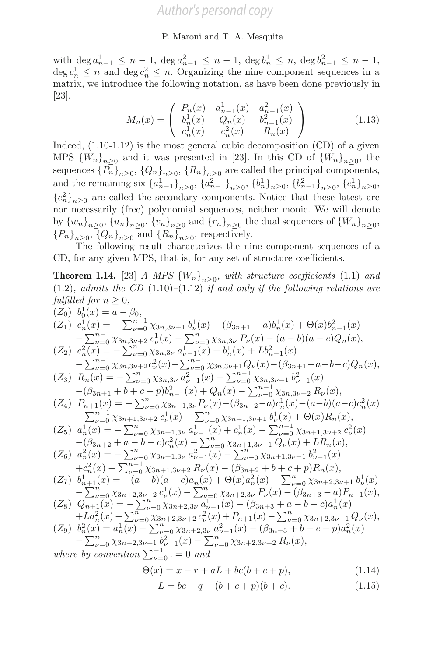with  $\deg a_{n-1}^1 \leq n-1$ ,  $\deg a_{n-1}^2 \leq n-1$ ,  $\deg b_n^1 \leq n$ ,  $\deg b_{n-1}^2 \leq n-1$ ,  $\deg c_n^1 \leq n$  and  $\deg c_n^2 \leq n$ . Organizing the nine component sequences in a matrix, we introduce the following notation, as have been done previously in [23].

$$
M_n(x) = \begin{pmatrix} P_n(x) & a_{n-1}^1(x) & a_{n-1}^2(x) \\ b_n^1(x) & Q_n(x) & b_{n-1}^2(x) \\ c_n^1(x) & c_n^2(x) & R_n(x) \end{pmatrix}
$$
(1.13)

Indeed,  $(1.10-1.12)$  is the most general cubic decomposition  $(CD)$  of a given MPS  ${W_n}_{n>0}$  and it was presented in [23]. In this CD of  ${W_n}_{n>0}$ , the sequences  $\{P_n\}_{n\geq 0}$ ,  $\{Q_n\}_{n\geq 0}$ ,  $\{R_n\}_{n\geq 0}$  are called the principal components, and the remaining six  ${a_{n-1}^1}_{n\geq 0}$ ,  ${a_{n-1}^2}_{n\geq 0}$ ,  ${b_n^1}_{n\geq 0}$ ,  ${b_{n-1}^2}_{n\geq 0}$ ,  ${c_n^1}_{n\geq 0}$ ,  ${c_n^2}_{n\geq 0}$  are called the secondary components. Notice that these latest are nor necessarily (free) polynomial sequences, neither monic. We will denote by  ${w_n}_{n>0}$ ,  ${u_n}_{n>0}$ ,  ${v_n}_{n>0}$  and  ${r_n}_{n>0}$  the dual sequences of  ${W_n}_{n>0}$ ,  ${P_n}_{n>0}, \overline{{Q_n}}_{n>0}$  and  ${R_n}_{n>0}$ , respectively.

The following result characterizes the nine component sequences of a CD, for any given MPS, that is, for any set of structure coefficients.

**Theorem 1.14.** [23] A MPS  $\{W_n\}_{n>0}$ , with structure coefficients (1.1) and  $(1.2)$ , admits the CD  $(1.10)$ – $(1.12)$  if and only if the following relations are fulfilled for  $n \geq 0$ ,

$$
(Z_{0})\ b_{0}^{1}(x) = a - \beta_{0},
$$
\n
$$
(Z_{1})\ c_{n}^{1}(x) = -\sum_{\nu=0}^{n-1} \chi_{3n,3\nu+1} b_{\nu}^{1}(x) - (\beta_{3n+1} - a)b_{n}^{1}(x) + \Theta(x)b_{n-1}^{2}(x) - \sum_{\nu=0}^{n} \chi_{3n,3\nu+2} c_{\nu}^{1}(x) - \sum_{\nu=0}^{n} \chi_{3n,3\nu} P_{\nu}(x) - (a - b)(a - c)Q_{n}(x),
$$
\n
$$
(Z_{2})\ c_{n}^{2}(x) = -\sum_{\nu=0}^{n} \chi_{3n,3\nu} a_{\nu-1}^{1}(x) + b_{n}^{1}(x) + Lb_{n-1}^{2}(x) - \sum_{\nu=0}^{n} \chi_{3n+1} P_{\nu}(x) - \sum_{\nu=0}^{n} \chi_{3n,3\nu+1} P_{\nu}(x) - (\beta_{3n+1} + a - b - c)Q_{n}(x),
$$
\n
$$
(Z_{3})\ R_{n}(x) = -\sum_{\nu=0}^{n} \chi_{3n,3\nu} a_{\nu-1}^{2}(x) - \sum_{\nu=0}^{n-1} \chi_{3n,3\nu+1} b_{\nu-1}^{2}(x) - (\beta_{3n+1} + a - b - c)Q_{n}(x),
$$
\n
$$
(Z_{4})\ P_{n+1}(x) = -\sum_{\nu=0}^{n} \chi_{3n+3\nu} a_{\nu-1}^{2}(x) - \sum_{\nu=0}^{n-1} \chi_{3n,3\nu+2} R_{\nu}(x),
$$
\n
$$
(Z_{4})\ P_{n+1}(x) = -\sum_{\nu=0}^{n} \chi_{3n+1,3\nu} P_{\nu}(x) - (\beta_{3n+2} - a)c_{n}^{1}(x) - (a - b)(a - c)c_{n}^{2}(x) - \sum_{\nu=0}^{n-1} \chi_{3n+1,3\nu+1} b_{\nu}^{1}(x) + \Theta(x)R_{n}(x),
$$
\n
$$
(Z_{5})\ a_{n}^{1}(x) = -\sum_{\nu=0}^{n} \chi_{3n+1,3\nu} a_{
$$

$$
(Z_9) \quad b_n^2(x) = a_n^1(x) - \sum_{\nu=0}^n \chi_{3n+2,3\nu} a_{\nu-1}^2(x) + P_{n+1}(x) - \sum_{\nu=0}^n \chi_{3n+2,3\nu+1} Q_{\nu}(x),
$$
  

$$
(Z_9) \quad b_n^2(x) = a_n^1(x) - \sum_{\nu=0}^n \chi_{3n+2,3\nu} a_{\nu-1}^2(x) - (\beta_{3n+3} + b + c + p) a_n^2(x)
$$

$$
-\sum_{\nu=0}^{n} \chi_{3n+2,3\nu+1} b_{\nu-1}^{2}(x) - \sum_{\nu=0}^{n} \chi_{3n+2,3\nu+2} R_{\nu}(x),
$$
  
where by convention  $\sum_{\nu=0}^{-1} 0$  and

$$
\Theta(x) = x - r + aL + bc(b + c + p),
$$
\n(1.14)

$$
L = bc - q - (b + c + p)(b + c).
$$
 (1.15)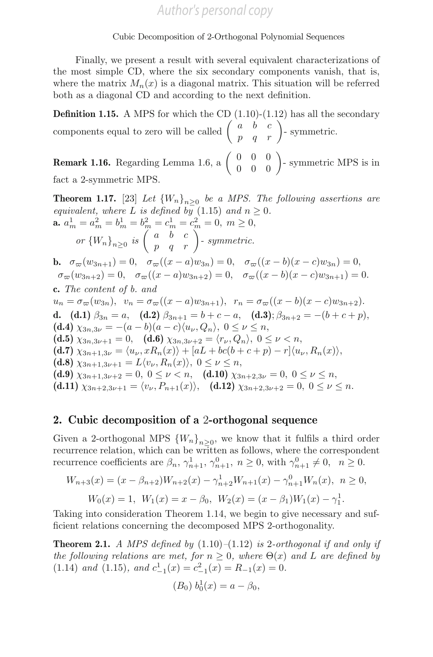Finally, we present a result with several equivalent characterizations of the most simple CD, where the six secondary components vanish, that is, where the matrix  $M_n(x)$  is a diagonal matrix. This situation will be referred both as a diagonal CD and according to the next definition.

**Definition 1.15.** A MPS for which the CD  $(1.10)-(1.12)$  has all the secondary components equal to zero will be called  $\begin{pmatrix} a & b & c \\ p & q & r \end{pmatrix}$ -symmetric.

**Remark 1.16.** Regarding Lemma 1.6, a  $\begin{pmatrix} 0 & 0 & 0 \\ 0 & 0 & 0 \end{pmatrix}$ - symmetric MPS is in fact a 2-symmetric MPS.

**Theorem 1.17.** [23] Let  ${W_n}_{n>0}$  be a MPS. The following assertions are equivalent, where L is defined by  $(1.15)$  and  $n \geq 0$ . **a.**  $a_m^1 = a_m^2 = b_m^1 = b_m^2 = c_m^1 = c_m^2 = 0, m \ge 0,$ or  ${W_n}_{n\geq 0}$  is  $\begin{pmatrix} a & b & c \\ p & q & r \end{pmatrix}$ - symmetric. **b.**  $\sigma_{\varpi}(w_{3n+1})=0$ ,  $\sigma_{\varpi}((x-a)w_{3n})=0$ ,  $\sigma_{\varpi}((x-b)(x-c)w_{3n})=0$ ,  $\sigma_{\varpi}(w_{3n+2})=0$ ,  $\sigma_{\varpi}((x-a)w_{3n+2})=0$ ,  $\sigma_{\varpi}((x-b)(x-c)w_{3n+1})=0$ . c. The content of b. and  $u_n = \sigma_\varpi(w_{3n}), \ \ v_n = \sigma_\varpi((x - a)w_{3n+1}), \ \ r_n = \sigma_\varpi((x - b)(x - c)w_{3n+2}).$ d. (d.1)  $\beta_{3n} = a$ , (d.2)  $\beta_{3n+1} = b + c - a$ , (d.3);  $\beta_{3n+2} = -(b + c + p)$ , (d.4)  $\chi_{3n,3\nu} = -(a-b)(a-c)\langle u_{\nu}, Q_n \rangle, 0 \le \nu \le n,$ (d.5)  $\chi_{3n,3\nu+1} = 0$ , (d.6)  $\chi_{3n,3\nu+2} = \langle r_{\nu}, Q_n \rangle$ ,  $0 \le \nu < n$ , (d.7)  $\chi_{3n+1,3\nu} = \langle u_{\nu}, xR_n(x) \rangle + [aL + bc(b+c+p) - r] \langle u_{\nu}, R_n(x) \rangle,$ (d.8)  $\chi_{3n+1,3\nu+1} = L \langle v_\nu, R_n(x) \rangle, 0 \leq \nu \leq n,$ (d.9)  $\chi_{3n+1,3\nu+2} = 0, 0 \le \nu < n,$  (d.10)  $\chi_{3n+2,3\nu} = 0, 0 \le \nu \le n,$ (d.11)  $\chi_{3n+2,3\nu+1} = \langle v_\nu, P_{n+1}(x) \rangle$ , (d.12)  $\chi_{3n+2,3\nu+2} = 0$ ,  $0 \le \nu \le n$ .

### 2. Cubic decomposition of a 2-orthogonal sequence

Given a 2-orthogonal MPS  ${W_n}_{n>0}$ , we know that it fulfils a third order recurrence relation, which can be written as follows, where the correspondent recurrence coefficients are  $\beta_n$ ,  $\gamma_{n+1}^1$ ,  $\gamma_{n+1}^0$ ,  $n \ge 0$ , with  $\gamma_{n+1}^0 \ne 0$ ,  $n \ge 0$ .

$$
W_{n+3}(x) = (x - \beta_{n+2})W_{n+2}(x) - \gamma_{n+2}^1 W_{n+1}(x) - \gamma_{n+1}^0 W_n(x), \quad n \ge 0,
$$
  

$$
W_0(x) = 1, \quad W_1(x) = x - \beta_0, \quad W_2(x) = (x - \beta_1)W_1(x) - \gamma_1^1.
$$

Taking into consideration Theorem 1.14, we begin to give necessary and sufficient relations concerning the decomposed MPS 2-orthogonality.

**Theorem 2.1.** A MPS defined by  $(1.10)$ – $(1.12)$  is 2-orthogonal if and only if the following relations are met, for  $n \geq 0$ , where  $\Theta(x)$  and L are defined by (1.14) and (1.15), and  $c_{-1}^1(x) = c_{-1}^2(x) = R_{-1}(x) = 0$ .

$$
(B_0) b_0^1(x) = a - \beta_0,
$$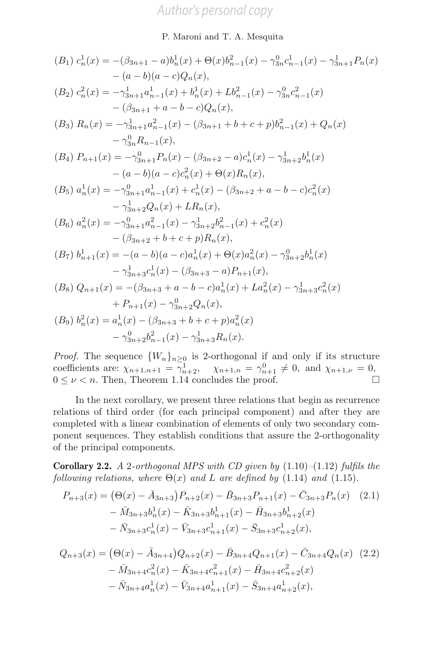### 8 P. Maroni and T. A. Mesquita

$$
(B_1) c_n^1(x) = -(\beta_{3n+1} - a)b_n^1(x) + \Theta(x)b_{n-1}^2(x) - \gamma_{3n}^0 c_{n-1}^1(x) - \gamma_{3n+1}^1 P_n(x)
$$
  
\n
$$
- (a - b)(a - c)Q_n(x),
$$
  
\n
$$
(B_2) c_n^2(x) = -\gamma_{3n+1}^1 a_{n-1}^1(x) + b_n^1(x) + Lb_{n-1}^2(x) - \gamma_{3n}^0 c_{n-1}^2(x)
$$
  
\n
$$
- (\beta_{3n+1} + a - b - c)Q_n(x),
$$
  
\n
$$
(B_3) R_n(x) = -\gamma_{3n+1}^1 a_{n-1}^2(x) - (\beta_{3n+1} + b + c + p)b_{n-1}^2(x) + Q_n(x)
$$
  
\n
$$
- \gamma_{3n}^0 R_{n-1}(x),
$$
  
\n
$$
(B_4) P_{n+1}(x) = -\gamma_{3n+1}^0 P_n(x) - (\beta_{3n+2} - a)c_n^1(x) - \gamma_{3n+2}^1 b_n^1(x)
$$
  
\n
$$
- (a - b)(a - c)c_n^2(x) + \Theta(x)R_n(x),
$$
  
\n
$$
(B_5) a_n^1(x) = -\gamma_{3n+1}^0 a_{n-1}^1(x) + c_n^1(x) - (\beta_{3n+2} + a - b - c)c_n^2(x)
$$
  
\n
$$
- \gamma_{3n+2}^1 Q_n(x) + L R_n(x),
$$
  
\n
$$
(B_6) a_n^2(x) = -\gamma_{3n+1}^0 a_{n-1}^2(x) - \gamma_{3n+2}^1 b_{n-1}^2(x) + c_n^2(x)
$$
  
\n
$$
- (\beta_{3n+2} + b + c + p)R_n(x),
$$
  
\n
$$
(B_7) b_{n+1}^1(x) = - (a - b)(a - c)a_n^1(x) + \Theta(x)a_n^2(x) - \gamma_{3n+2}^0 b_n^1(x)
$$
  
\n
$$
- \gamma_{3n+3}^1 c_n^1(x) - (\beta_{3n+3} - a)P_{n+1}(x),
$$
  
\n
$$
(
$$

*Proof.* The sequence  $\{W_n\}_{n>0}$  is 2-orthogonal if and only if its structure coefficients are:  $\chi_{n+1,n+1} = \gamma_{n+2}^1$ ,  $\chi_{n+1,n} = \gamma_{n+1}^0 \neq 0$ , and  $\chi_{n+1,\nu} = 0$ ,  $0 \leq \nu < n$ . Then, Theorem 1.14 concludes the proof.

In the next corollary, we present three relations that begin as recurrence relations of third order (for each principal component) and after they are completed with a linear combination of elements of only two secondary component sequences. They establish conditions that assure the 2-orthogonality of the principal components.

**Corollary 2.2.** A 2-orthogonal MPS with CD given by  $(1.10)$ – $(1.12)$  fulfils the following relations, where  $\Theta(x)$  and L are defined by (1.14) and (1.15).

$$
P_{n+3}(x) = (\Theta(x) - \bar{A}_{3n+3}) P_{n+2}(x) - \bar{B}_{3n+3} P_{n+1}(x) - \bar{C}_{3n+3} P_n(x) \quad (2.1)
$$

$$
- \bar{M}_{3n+3} b_n^1(x) - \bar{K}_{3n+3} b_{n+1}^1(x) - \bar{H}_{3n+3} b_{n+2}^1(x)
$$

$$
- \bar{N}_{3n+3} c_n^1(x) - \bar{V}_{3n+3} c_{n+1}^1(x) - \bar{S}_{3n+3} c_{n+2}^1(x),
$$

$$
Q_{n+3}(x) = (\Theta(x) - \bar{A}_{3n+4})Q_{n+2}(x) - \bar{B}_{3n+4}Q_{n+1}(x) - \bar{C}_{3n+4}Q_n(x)
$$
 (2.2)  

$$
- \bar{M}_{3n+4}c_n^2(x) - \bar{K}_{3n+4}c_{n+1}^2(x) - \bar{H}_{3n+4}c_{n+2}^2(x)
$$
  

$$
- \bar{N}_{3n+4}a_n^1(x) - \bar{V}_{3n+4}a_{n+1}^1(x) - \bar{S}_{3n+4}a_{n+2}^1(x),
$$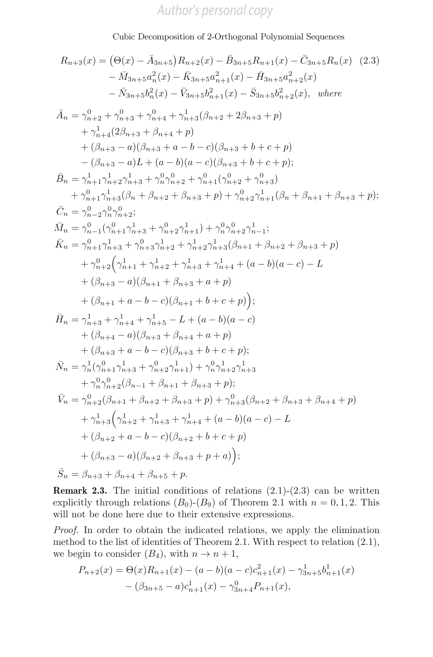Cubic Decomposition of 2-Orthogonal Polynomial Sequences

$$
R_{n+3}(x) = (\Theta(x) - \bar{A}_{3n+5}) R_{n+2}(x) - \bar{B}_{3n+5} R_{n+1}(x) - \bar{C}_{3n+5} R_n(x)
$$
 (2.3)  
\n
$$
- \bar{M}_{3n+5} a_n^2(x) - \bar{K}_{3n+5} a_{n+1}^2(x) - \bar{H}_{3n+5} a_{n+2}^2(x)
$$
  
\n
$$
- \bar{N}_{3n+5} b_n^2(x) - \bar{V}_{3n+5} b_{n+1}^2(x) - \bar{S}_{3n+5} b_{n+2}^2(x), \text{ where}
$$
  
\n
$$
\bar{A}_n = \gamma_{n+2}^0 + \gamma_{n+3}^0 + \gamma_{n+4}^0 + \gamma_{n+3}^1(\beta_{n+2} + 2\beta_{n+3} + p)
$$
  
\n
$$
+ \gamma_{n+4}^1(2\beta_{n+3} + \beta_{n+4} + p)
$$
  
\n
$$
+ (\beta_{n+3} - a)(\beta_{n+3} + a - b - c)(\beta_{n+3} + b + c + p)
$$
  
\n
$$
- (\beta_{n+3} - a)L + (a - b)(a - c)(\beta_{n+3} + b + c + p);
$$
  
\n
$$
\bar{B}_n = \gamma_{n+1}^1 \gamma_{n+2}^1 \gamma_{n+3}^1 + \gamma_n^0 \gamma_{n+2}^0 + \gamma_{n+1}^0(\gamma_{n+2}^0 + \gamma_{n+3}^0)
$$
  
\n
$$
+ \gamma_{n+1}^0 \gamma_{n+3}^1(\beta_n + \beta_{n+2} + \beta_{n+3} + p) + \gamma_{n+2}^0 \gamma_{n+1}^1(\beta_n + \beta_{n+1} + \beta_{n+3} + p);
$$
  
\n
$$
\bar{C}_n = \gamma_{n-2}^0 \gamma_{n-2}^0
$$
  
\n
$$
\bar{M}_n = \gamma_{n-1}^0(\gamma_{n+1}^0 \gamma_{n+3}^1 + \gamma_{n+2}^0 \gamma_{n+1}^1) + \gamma_n^0 \gamma_{n+2}^0 \gamma_{n-1}^1;
$$
  
\n
$$
\bar{K}_n = \gamma_{n
$$

**Remark 2.3.** The initial conditions of relations  $(2.1)-(2.3)$  can be written explicitly through relations  $(B_0)$ - $(B_9)$  of Theorem 2.1 with  $n = 0, 1, 2$ . This will not be done here due to their extensive expressions.

Proof. In order to obtain the indicated relations, we apply the elimination method to the list of identities of Theorem 2.1. With respect to relation (2.1), we begin to consider  $(B_4)$ , with  $n \to n+1$ ,

$$
P_{n+2}(x) = \Theta(x)R_{n+1}(x) - (a - b)(a - c)c_{n+1}^{2}(x) - \gamma_{3n+5}^{1}b_{n+1}^{1}(x) - (\beta_{3n+5} - a)c_{n+1}^{1}(x) - \gamma_{3n+4}^{0}P_{n+1}(x),
$$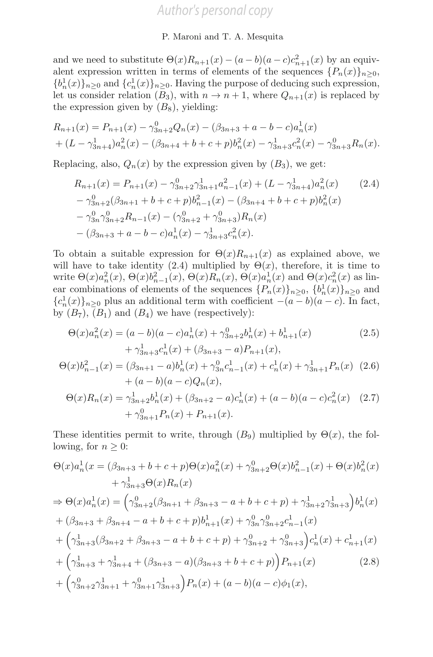and we need to substitute  $\Theta(x)R_{n+1}(x) - (a-b)(a-c)c_{n+1}^2(x)$  by an equivalent expression written in terms of elements of the sequences  $\{P_n(x)\}_n>0$ ,  ${b_n^1(x)}_{n \geq 0}$  and  ${c_n^1(x)}_{n \geq 0}$ . Having the purpose of deducing such expression, let us consider relation  $(B_3)$ , with  $n \to n+1$ , where  $Q_{n+1}(x)$  is replaced by the expression given by  $(B_8)$ , yielding:

$$
R_{n+1}(x) = P_{n+1}(x) - \gamma_{3n+2}^{0} Q_n(x) - (\beta_{3n+3} + a - b - c) a_n^{1}(x)
$$
  
+  $(L - \gamma_{3n+4}^{1}) a_n^{2}(x) - (\beta_{3n+4} + b + c + p) b_n^{2}(x) - \gamma_{3n+3}^{1} c_n^{2}(x) - \gamma_{3n+3}^{0} R_n(x).$ 

Replacing, also,  $Q_n(x)$  by the expression given by  $(B_3)$ , we get:

$$
R_{n+1}(x) = P_{n+1}(x) - \gamma_{3n+2}^0 \gamma_{3n+1}^1 a_{n-1}^2(x) + (L - \gamma_{3n+4}^1) a_n^2(x)
$$
(2.4)  

$$
- \gamma_{3n+2}^0 (\beta_{3n+1} + b + c + p) b_{n-1}^2(x) - (\beta_{3n+4} + b + c + p) b_n^2(x)
$$
  

$$
- \gamma_{3n}^0 \gamma_{3n+2}^0 R_{n-1}(x) - (\gamma_{3n+2}^0 + \gamma_{3n+3}^0) R_n(x)
$$
  

$$
- (\beta_{3n+3} + a - b - c) a_n^1(x) - \gamma_{3n+3}^1 c_n^2(x).
$$

To obtain a suitable expression for  $\Theta(x)R_{n+1}(x)$  as explained above, we will have to take identity (2.4) multiplied by  $\Theta(x)$ , therefore, it is time to write  $\Theta(x)a_n^2(x), \Theta(x)b_{n-1}^2(x), \Theta(x)R_n(x), \Theta(x)a_n^1(x)$  and  $\Theta(x)c_n^2(x)$  as linear combinations of elements of the sequences  $\{P_n(x)\}_{n\geq 0}$ ,  $\{b_n^1(x)\}_{n\geq 0}$  and  ${c_n(x)}_n \geq 0$  plus an additional term with coefficient  $-(a-b)(a-c)$ . In fact, by  $(B_7)$ ,  $(B_1)$  and  $(B_4)$  we have (respectively):

$$
\Theta(x)a_n^2(x) = (a - b)(a - c)a_n^1(x) + \gamma_{3n+2}^0 b_n^1(x) + b_{n+1}^1(x) + \gamma_{3n+3}^1 c_n^1(x) + (\beta_{3n+3} - a)P_{n+1}(x),
$$
\n(2.5)

$$
\Theta(x)b_{n-1}^2(x) = (\beta_{3n+1} - a)b_n^1(x) + \gamma_{3n}^0 c_{n-1}^1(x) + c_n^1(x) + \gamma_{3n+1}^1 P_n(x)
$$
 (2.6)  
+  $(a - b)(a - c)Q_n(x)$ ,

$$
\Theta(x)R_n(x) = \gamma_{3n+2}^1 b_n^1(x) + (\beta_{3n+2} - a)c_n^1(x) + (a - b)(a - c)c_n^2(x)
$$
 (2.7)  
+  $\gamma_{3n+1}^0 P_n(x) + P_{n+1}(x)$ .

These identities permit to write, through  $(B_9)$  multiplied by  $\Theta(x)$ , the following, for  $n \geq 0$ :

$$
\Theta(x)a_n^1(x = (\beta_{3n+3} + b + c + p)\Theta(x)a_n^2(x) + \gamma_{3n+2}^0\Theta(x)b_{n-1}^2(x) + \Theta(x)b_n^2(x) \n+ \gamma_{3n+3}^1\Theta(x)R_n(x) \n\Rightarrow \Theta(x)a_n^1(x) = \left(\gamma_{3n+2}^0(\beta_{3n+1} + \beta_{3n+3} - a + b + c + p) + \gamma_{3n+2}^1\gamma_{3n+3}^1\right)b_n^1(x) \n+ (\beta_{3n+3} + \beta_{3n+4} - a + b + c + p)b_{n+1}^1(x) + \gamma_{3n}^0\gamma_{3n+2}^0c_{n-1}^1(x) \n+ \left(\gamma_{3n+3}^1(\beta_{3n+2} + \beta_{3n+3} - a + b + c + p) + \gamma_{3n+2}^0 + \gamma_{3n+3}^0\right)c_n^1(x) + c_{n+1}^1(x) \n+ \left(\gamma_{3n+3}^1 + \gamma_{3n+4}^1 + (\beta_{3n+3} - a)(\beta_{3n+3} + b + c + p)\right)P_{n+1}(x)
$$
\n(2.8)  
\n+  $\left(\gamma_{3n+2}^0\gamma_{3n+1}^1 + \gamma_{3n+1}^0\gamma_{3n+3}^1\right)P_n(x) + (a - b)(a - c)\phi_1(x),$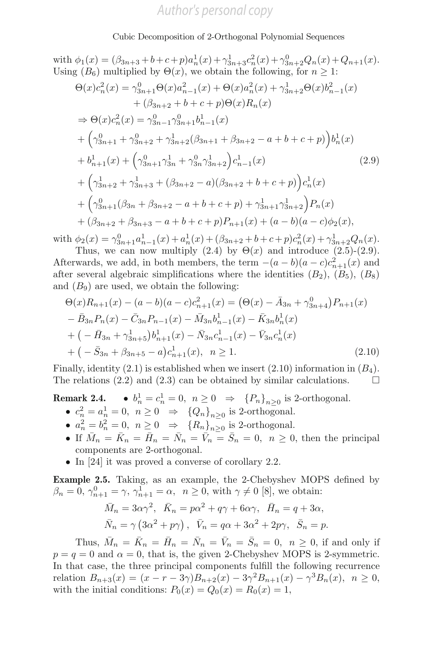with  $\phi_1(x) = (\beta_{3n+3} + b + c + p)a_n^1(x) + \gamma_{3n+3}^1 c_n^2(x) + \gamma_{3n+2}^0 Q_n(x) + Q_{n+1}(x)$ . Using  $(B_6)$  multiplied by  $\Theta(x)$ , we obtain the following, for  $n \geq 1$ :

$$
\Theta(x)c_n^2(x) = \gamma_{3n+1}^0 \Theta(x)a_{n-1}^2(x) + \Theta(x)a_n^2(x) + \gamma_{3n+2}^1 \Theta(x)b_{n-1}^2(x)
$$
  
+  $(\beta_{3n+2} + b + c + p)\Theta(x)R_n(x)$   
 $\Rightarrow \Theta(x)c_n^2(x) = \gamma_{3n-1}^0 \gamma_{3n+1}^0 b_{n-1}^1(x)$   
+  $(\gamma_{3n+1}^0 + \gamma_{3n+2}^0 + \gamma_{3n+2}^1(\beta_{3n+1} + \beta_{3n+2} - a + b + c + p))b_n^1(x)$   
+  $b_{n+1}^1(x) + (\gamma_{3n+1}^0 \gamma_{3n}^1 + \gamma_{3n}^0 \gamma_{3n+2}^1)c_{n-1}^1(x)$   
+  $(\gamma_{3n+2}^1 + \gamma_{3n+3}^1 + (\beta_{3n+2} - a)(\beta_{3n+2} + b + c + p))c_n^1(x)$   
+  $(\gamma_{3n+1}^0(\beta_{3n} + \beta_{3n+2} - a + b + c + p) + \gamma_{3n+1}^1 \gamma_{3n+2}^1)P_n(x)$   
+  $(\beta_{3n+2} + \beta_{3n+3} - a + b + c + p)P_{n+1}(x) + (a - b)(a - c)\phi_2(x),$ 

with  $\phi_2(x) = \gamma_{3n+1}^0 a_{n-1}^1(x) + a_n^1(x) + (\beta_{3n+2} + b + c + p)c_n^2(x) + \gamma_{3n+2}^1 Q_n(x)$ Thus, we can now multiply  $(2.4)$  by  $\Theta(x)$  and introduce  $(2.5)-(2.9)$ .

Afterwards, we add, in both members, the term  $-(a-b)(a-c)c_{n+1}^2(x)$  and after several algebraic simplifications where the identities  $(B_2)$ ,  $(B_5)$ ,  $(B_8)$ and  $(B_9)$  are used, we obtain the following:

$$
\Theta(x)R_{n+1}(x) - (a - b)(a - c)c_{n+1}^{2}(x) = (\Theta(x) - \bar{A}_{3n} + \gamma_{3n+4}^{0})P_{n+1}(x)
$$
  
\n
$$
- \bar{B}_{3n}P_{n}(x) - \bar{C}_{3n}P_{n-1}(x) - \bar{M}_{3n}b_{n-1}^{1}(x) - \bar{K}_{3n}b_{n}^{1}(x)
$$
  
\n
$$
+ (-\bar{H}_{3n} + \gamma_{3n+5}^{1})b_{n+1}^{1}(x) - \bar{N}_{3n}c_{n-1}^{1}(x) - \bar{V}_{3n}c_{n}^{1}(x)
$$
  
\n
$$
+ (-\bar{S}_{3n} + \beta_{3n+5} - a)c_{n+1}^{1}(x), \quad n \ge 1.
$$
\n(2.10)

Finally, identity (2.1) is established when we insert (2.10) information in  $(B_4)$ . The relations (2.2) and (2.3) can be obtained by similar calculations.  $\Box$ 

**Remark 2.4.** •  $b_n^1 = c_n^1 = 0$ ,  $n \ge 0 \Rightarrow \{P_n\}_{n \ge 0}$  is 2-orthogonal.

- $c_n^2 = a_n^1 = 0$ ,  $n \ge 0$   $\Rightarrow$   $\{Q_n\}_{n \ge 0}$  is 2-orthogonal.
- $a_n^2 = b_n^2 = 0$ ,  $n \ge 0$   $\Rightarrow$   $\{R_n\}_{n \ge 0}$  is 2-orthogonal.
- If  $\bar{M}_n = \bar{K}_n = \bar{H}_n = \bar{N}_n = \bar{V}_n = \bar{S}_n = 0, n \geq 0$ , then the principal components are 2-orthogonal.
- In [24] it was proved a converse of corollary 2.2.

Example 2.5. Taking, as an example, the 2-Chebyshev MOPS defined by  $\beta_n = 0, \gamma_{n+1}^0 = \gamma, \gamma_{n+1}^1 = \alpha, \ \ n \ge 0$ , with  $\gamma \ne 0$  [8], we obtain:

$$
\bar{M}_n = 3\alpha\gamma^2, \quad \bar{K}_n = p\alpha^2 + q\gamma + 6\alpha\gamma, \quad \bar{H}_n = q + 3\alpha,
$$
  

$$
\bar{N}_n = \gamma (3\alpha^2 + p\gamma), \quad \bar{V}_n = q\alpha + 3\alpha^2 + 2p\gamma, \quad \bar{S}_n = p.
$$

Thus,  $\overline{M}_n = \overline{K}_n = \overline{H}_n = \overline{N}_n = \overline{V}_n = \overline{S}_n = 0$ ,  $n \geq 0$ , if and only if  $p = q = 0$  and  $\alpha = 0$ , that is, the given 2-Chebyshev MOPS is 2-symmetric. In that case, the three principal components fulfill the following recurrence relation  $B_{n+3}(x)=(x - r - 3\gamma)B_{n+2}(x) - 3\gamma^2B_{n+1}(x) - \gamma^3B_n(x), n \ge 0,$ with the initial conditions:  $P_0(x) = Q_0(x) = R_0(x) = 1$ ,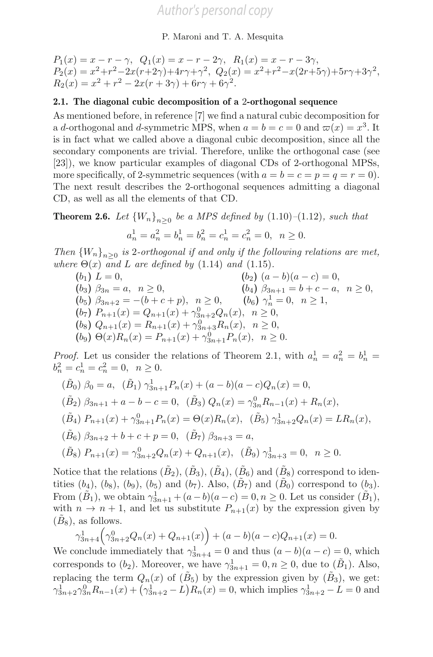$P_1(x) = x - r - \gamma$ ,  $Q_1(x) = x - r - 2\gamma$ ,  $R_1(x) = x - r - 3\gamma$ ,  $P_2(x) = x^2 + r^2 - 2x(r+2\gamma) + 4r\gamma + \gamma^2$ ,  $Q_2(x) = x^2 + r^2 - x(2r+5\gamma) + 5r\gamma + 3\gamma^2$ ,  $R_2(x) = x^2 + r^2 - 2x(r + 3\gamma) + 6r\gamma + 6\gamma^2.$ 

### 2.1. The diagonal cubic decomposition of a 2-orthogonal sequence

As mentioned before, in reference [7] we find a natural cubic decomposition for a d-orthogonal and d-symmetric MPS, when  $a = b = c = 0$  and  $\varpi(x) = x^3$ . It is in fact what we called above a diagonal cubic decomposition, since all the secondary components are trivial. Therefore, unlike the orthogonal case (see [23]), we know particular examples of diagonal CDs of 2-orthogonal MPSs, more specifically, of 2-symmetric sequences (with  $a = b = c = p = q = r = 0$ ). The next result describes the 2-orthogonal sequences admitting a diagonal CD, as well as all the elements of that CD.

**Theorem 2.6.** Let  ${W_n}_{n>0}$  be a MPS defined by (1.10)–(1.12), such that

$$
a_n^1 = a_n^2 = b_n^1 = b_n^2 = c_n^1 = c_n^2 = 0, \ \ n \ge 0.
$$

Then  ${W_n}_{n>0}$  is 2-orthogonal if and only if the following relations are met, where  $\Theta(x)$  and L are defined by (1.14) and (1.15).

$$
(b_1) L = 0,
$$
  
\n
$$
(b_3) \beta_{3n} = a, \quad n \ge 0,
$$
  
\n
$$
(b_4) \beta_{3n+1} = b + c - a, \quad n \ge 0,
$$
  
\n
$$
(b_5) \beta_{3n+2} = -(b + c + p), \quad n \ge 0,
$$
  
\n
$$
(b_6) \gamma_n^1 = 0, \quad n \ge 1,
$$
  
\n
$$
(b_7) P_{n+1}(x) = Q_{n+1}(x) + \gamma_{3n+2}^0 Q_n(x), \quad n \ge 0,
$$
  
\n
$$
(b_8) Q_{n+1}(x) = R_{n+1}(x) + \gamma_{3n+3}^0 R_n(x), \quad n \ge 0,
$$
  
\n
$$
(b_9) \Theta(x) R_n(x) = P_{n+1}(x) + \gamma_{3n+1}^0 P_n(x), \quad n \ge 0.
$$

*Proof.* Let us consider the relations of Theorem 2.1, with  $a_n^1 = a_n^2 = b_n^1 =$  $b_n^2 = c_n^1 = c_n^2 = 0, \ \ n \ge 0.$ 

$$
(\tilde{B}_0) \ \beta_0 = a, \quad (\tilde{B}_1) \ \gamma_{3n+1}^1 P_n(x) + (a - b)(a - c)Q_n(x) = 0,
$$
  
\n
$$
(\tilde{B}_2) \ \beta_{3n+1} + a - b - c = 0, \quad (\tilde{B}_3) \ Q_n(x) = \gamma_{3n}^0 R_{n-1}(x) + R_n(x),
$$
  
\n
$$
(\tilde{B}_4) \ P_{n+1}(x) + \gamma_{3n+1}^0 P_n(x) = \Theta(x)R_n(x), \quad (\tilde{B}_5) \ \gamma_{3n+2}^1 Q_n(x) = LR_n(x),
$$
  
\n
$$
(\tilde{B}_6) \ \beta_{3n+2} + b + c + p = 0, \quad (\tilde{B}_7) \ \beta_{3n+3} = a,
$$
  
\n
$$
(\tilde{B}_8) \ P_{n+1}(x) = \gamma_{3n+2}^0 Q_n(x) + Q_{n+1}(x), \quad (\tilde{B}_9) \ \gamma_{3n+3}^1 = 0, \quad n \ge 0.
$$

Notice that the relations  $(\tilde{B}_2), (\tilde{B}_3), (\tilde{B}_4), (\tilde{B}_6)$  and  $(\tilde{B}_8)$  correspond to identities  $(b_4)$ ,  $(b_8)$ ,  $(b_9)$ ,  $(b_5)$  and  $(b_7)$ . Also,  $(\tilde{B}_7)$  and  $(\tilde{B}_0)$  correspond to  $(b_3)$ . From  $(\tilde{B}_1)$ , we obtain  $\gamma_{3n+1}^1 + (a-b)(a-c) = 0, n \ge 0$ . Let us consider  $(\tilde{B}_1)$ , with  $n \to n+1$ , and let us substitute  $P_{n+1}(x)$  by the expression given by  $(B_8)$ , as follows.

$$
\gamma_{3n+4}^1(\gamma_{3n+2}^0 Q_n(x) + Q_{n+1}(x)) + (a-b)(a-c)Q_{n+1}(x) = 0.
$$

We conclude immediately that  $\gamma_{3n+4}^1 = 0$  and thus  $(a - b)(a - c) = 0$ , which corresponds to  $(b_2)$ . Moreover, we have  $\gamma_{3n+1}^1 = 0, n \geq 0$ , due to  $(\tilde{B}_1)$ . Also, replacing the term  $Q_n(x)$  of  $(\tilde{B}_5)$  by the expression given by  $(\tilde{B}_3)$ , we get:  $\gamma_{3n+2}^1 \gamma_{3n}^0 R_{n-1}(x) + (\gamma_{3n+2}^1 - L) R_n(x) = 0$ , which implies  $\gamma_{3n+2}^1 - L = 0$  and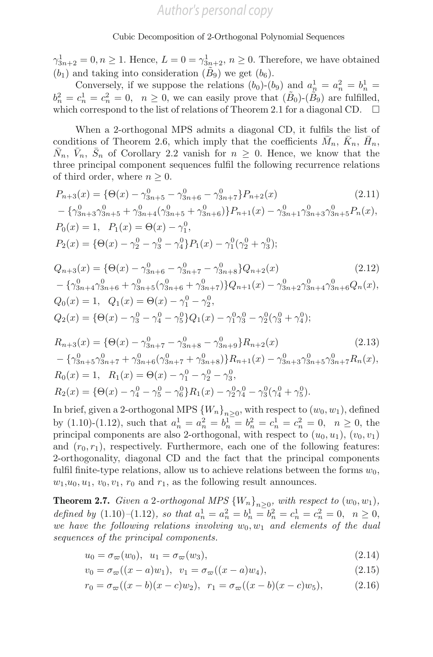$\gamma_{3n+2}^1 = 0, n \ge 1$ . Hence,  $L = 0 = \gamma_{3n+2}^1, n \ge 0$ . Therefore, we have obtained  $(b_1)$  and taking into consideration  $(\tilde{B}_9)$  we get  $(b_6)$ .

Conversely, if we suppose the relations  $(b_0)$ - $(b_9)$  and  $a_n^1 = a_n^2 = b_n^1 =$  $b_n^2 = c_n^1 = c_n^2 = 0$ ,  $n \ge 0$ , we can easily prove that  $(\tilde{B}_0)$ - $(\tilde{B}_9)$  are fulfilled, which correspond to the list of relations of Theorem 2.1 for a diagonal CD.  $\Box$ 

When a 2-orthogonal MPS admits a diagonal CD, it fulfils the list of conditions of Theorem 2.6, which imply that the coefficients  $\bar{M}_n$ ,  $\bar{K}_n$ ,  $\bar{H}_n$ ,  $N_n$ ,  $\bar{V}_n$ ,  $\bar{S}_n$  of Corollary 2.2 vanish for  $n \geq 0$ . Hence, we know that the three principal component sequences fulfil the following recurrence relations of third order, where  $n \geq 0$ .

$$
P_{n+3}(x) = \{ \Theta(x) - \gamma_{3n+5}^0 - \gamma_{3n+6}^0 - \gamma_{3n+7}^0 \} P_{n+2}(x)
$$
(2.11)  
-  $\{ \gamma_{3n+3}^0 \gamma_{3n+5}^0 + \gamma_{3n+4}^0 (\gamma_{3n+5}^0 + \gamma_{3n+6}^0) \} P_{n+1}(x) - \gamma_{3n+1}^0 \gamma_{3n+3}^0 \gamma_{3n+5}^0 P_n(x),$   

$$
P_0(x) = 1, \quad P_1(x) = \Theta(x) - \gamma_1^0,
$$
  

$$
P_2(x) = \{ \Theta(x) - \gamma_2^0 - \gamma_3^0 - \gamma_4^0 \} P_1(x) - \gamma_1^0 (\gamma_2^0 + \gamma_3^0);
$$

$$
Q_{n+3}(x) = \{ \Theta(x) - \gamma_{3n+6}^0 - \gamma_{3n+7}^0 - \gamma_{3n+8}^0 \} Q_{n+2}(x)
$$
(2.12)  
-  $\{\gamma_{3n+4}^0 \gamma_{3n+6}^0 + \gamma_{3n+5}^0 (\gamma_{3n+6}^0 + \gamma_{3n+7}^0) \} Q_{n+1}(x) - \gamma_{3n+2}^0 \gamma_{3n+4}^0 \gamma_{3n+6}^0 Q_n(x),$   

$$
Q_0(x) = 1, \quad Q_1(x) = \Theta(x) - \gamma_1^0 - \gamma_2^0,
$$
  

$$
Q_2(x) = \{\Theta(x) - \gamma_3^0 - \gamma_4^0 - \gamma_5^0 \} Q_1(x) - \gamma_1^0 \gamma_3^0 - \gamma_2^0 (\gamma_3^0 + \gamma_4^0);
$$

$$
R_{n+3}(x) = \{ \Theta(x) - \gamma_{3n+7}^0 - \gamma_{3n+8}^0 - \gamma_{3n+9}^0 \} R_{n+2}(x)
$$
(2.13)  
-  $\{ \gamma_{3n+5}^0 \gamma_{3n+7}^0 + \gamma_{3n+6}^0 (\gamma_{3n+7}^0 + \gamma_{3n+8}^0) \} R_{n+1}(x) - \gamma_{3n+3}^0 \gamma_{3n+5}^0 \gamma_{3n+7}^0 R_n(x),$   

$$
R_0(x) = 1, \quad R_1(x) = \Theta(x) - \gamma_1^0 - \gamma_2^0 - \gamma_3^0,
$$
  

$$
R_2(x) = \{ \Theta(x) - \gamma_4^0 - \gamma_5^0 - \gamma_6^0 \} R_1(x) - \gamma_2^0 \gamma_4^0 - \gamma_3^0 (\gamma_4^0 + \gamma_5^0).
$$

In brief, given a 2-orthogonal MPS  ${W_n}_{n>0}$ , with respect to  $(w_0, w_1)$ , defined by (1.10)-(1.12), such that  $a_n^1 = a_n^2 = b_n^1 = b_n^2 = c_n^1 = c_n^2 = 0$ ,  $n \ge 0$ , the principal components are also 2-orthogonal, with respect to  $(u_0, u_1)$ ,  $(v_0, v_1)$ and  $(r_0, r_1)$ , respectively. Furthermore, each one of the following features: 2-orthogonality, diagonal CD and the fact that the principal components fulfil finite-type relations, allow us to achieve relations between the forms  $w_0$ ,  $w_1, u_0, u_1, v_0, v_1, r_0$  and  $r_1$ , as the following result announces.

**Theorem 2.7.** Given a 2-orthogonal MPS  ${W_n}_{n>0}$ , with respect to  $(w_0, w_1)$ , defined by (1.10)–(1.12), so that  $a_n^1 = a_n^2 = b_n^1 = b_n^2 = c_n^1 = c_n^2 = 0$ ,  $n \ge 0$ , we have the following relations involving  $w_0, w_1$  and elements of the dual sequences of the principal components.

$$
u_0 = \sigma_\varpi(w_0), \quad u_1 = \sigma_\varpi(w_3), \tag{2.14}
$$

$$
v_0 = \sigma_\varpi((x - a)w_1), \ \ v_1 = \sigma_\varpi((x - a)w_4), \tag{2.15}
$$

$$
r_0 = \sigma_{\varpi}((x - b)(x - c)w_2), \ \ r_1 = \sigma_{\varpi}((x - b)(x - c)w_5), \tag{2.16}
$$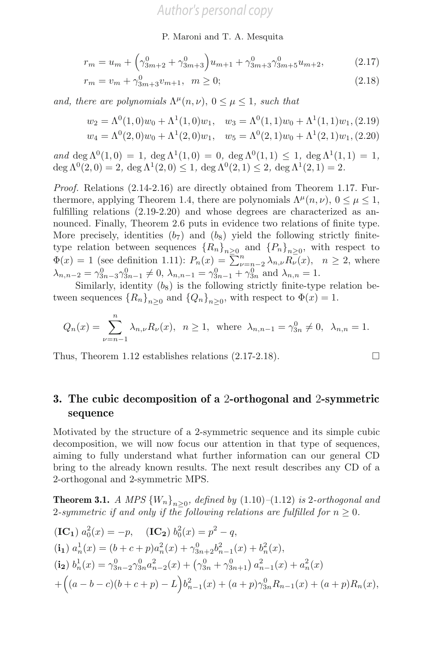P. Maroni and T. A. Mesquita

$$
r_m = u_m + \left(\gamma_{3m+2}^0 + \gamma_{3m+3}^0\right)u_{m+1} + \gamma_{3m+3}^0 \gamma_{3m+5}^0 u_{m+2},\tag{2.17}
$$

$$
r_m = v_m + \gamma_{3m+3}^0 v_{m+1}, \ \ m \ge 0; \tag{2.18}
$$

and, there are polynomials  $\Lambda^{\mu}(n, \nu)$ ,  $0 \leq \mu \leq 1$ , such that

$$
w_2 = \Lambda^0(1,0)w_0 + \Lambda^1(1,0)w_1, \quad w_3 = \Lambda^0(1,1)w_0 + \Lambda^1(1,1)w_1, (2.19)
$$
  

$$
w_4 = \Lambda^0(2,0)w_0 + \Lambda^1(2,0)w_1, \quad w_5 = \Lambda^0(2,1)w_0 + \Lambda^1(2,1)w_1, (2.20)
$$

and deg  $\Lambda^{0}(1,0) = 1$ , deg  $\Lambda^{1}(1,0) = 0$ , deg  $\Lambda^{0}(1,1) \leq 1$ , deg  $\Lambda^{1}(1,1) = 1$ ,  $\deg \Lambda^{0}(2,0) = 2$ ,  $\deg \Lambda^{1}(2,0) \leq 1$ ,  $\deg \Lambda^{0}(2,1) \leq 2$ ,  $\deg \Lambda^{1}(2,1) = 2$ .

Proof. Relations (2.14-2.16) are directly obtained from Theorem 1.17. Furthermore, applying Theorem 1.4, there are polynomials  $\Lambda^{\mu}(n, \nu)$ ,  $0 \leq \mu \leq 1$ , fulfilling relations (2.19-2.20) and whose degrees are characterized as announced. Finally, Theorem 2.6 puts in evidence two relations of finite type. More precisely, identities  $(b_7)$  and  $(b_8)$  yield the following strictly finitetype relation between sequences  ${R_n}_{n\geq 0}$  and  ${P_n}_{n\geq 0}$ , with respect to  $\Phi(x) = 1$  (see definition 1.11):  $P_n(x) = \sum_{\nu=n-2}^n \lambda_{n,\nu} R_{\nu}(x)$ ,  $n \ge 2$ , where  $\lambda_{n,n-2} = \gamma_{3n-3}^0 \gamma_{3n-1}^0 \neq 0, \lambda_{n,n-1} = \gamma_{3n-1}^0 + \gamma_{3n}^0$  and  $\lambda_{n,n} = 1$ .

Similarly, identity  $(b_8)$  is the following strictly finite-type relation between sequences  ${R_n}_{n>0}$  and  ${Q_n}_{n>0}$ , with respect to  $\Phi(x) = 1$ .

$$
Q_n(x) = \sum_{\nu=n-1}^n \lambda_{n,\nu} R_{\nu}(x), \ \ n \ge 1, \ \ \text{where} \ \ \lambda_{n,n-1} = \gamma_{3n}^0 \ne 0, \ \ \lambda_{n,n} = 1.
$$

Thus, Theorem 1.12 establishes relations (2.17-2.18). !

### 3. The cubic decomposition of a 2-orthogonal and 2-symmetric sequence

Motivated by the structure of a 2-symmetric sequence and its simple cubic decomposition, we will now focus our attention in that type of sequences, aiming to fully understand what further information can our general CD bring to the already known results. The next result describes any CD of a 2-orthogonal and 2-symmetric MPS.

**Theorem 3.1.** A MPS  ${W_n}_{n>0}$ , defined by (1.10)–(1.12) is 2-orthogonal and 2-symmetric if and only if the following relations are fulfilled for  $n \geq 0$ .

$$
\begin{aligned} \n(\mathbf{IC_{1}}) \ a_{0}^{2}(x) &= -p, \quad (\mathbf{IC_{2}}) \ b_{0}^{2}(x) = p^{2} - q, \\ \n(i_{1}) \ a_{n}^{1}(x) &= (b + c + p)a_{n}^{2}(x) + \gamma_{3n+2}^{0}b_{n-1}^{2}(x) + b_{n}^{2}(x), \\ \n(i_{2}) \ b_{n}^{1}(x) &= \gamma_{3n-2}^{0} \gamma_{3n}^{0} a_{n-2}^{2}(x) + \left(\gamma_{3n}^{0} + \gamma_{3n+1}^{0}\right) a_{n-1}^{2}(x) + a_{n}^{2}(x) \\ \n&+ \left( (a - b - c)(b + c + p) - L \right) b_{n-1}^{2}(x) + (a + p)\gamma_{3n}^{0} R_{n-1}(x) + (a + p)R_{n}(x), \n\end{aligned}
$$

$$
\Box
$$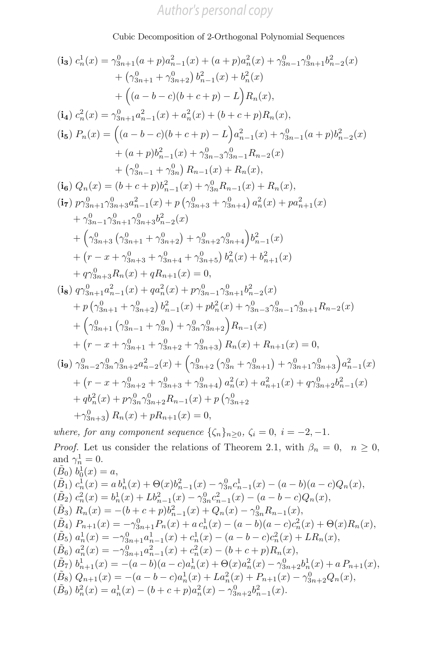Cubic Decomposition of 2-Orthogonal Polynomial Sequences

$$
(\mathbf{i}_{3}) c_{n}^{1}(x) = \gamma_{3n+1}^{0}(a+p)a_{n-1}^{2}(x) + (a+p)a_{n}^{2}(x) + \gamma_{3n-1}^{0}\gamma_{3n+1}^{0}b_{n-2}^{2}(x) + (\gamma_{3n+1}^{0} + \gamma_{3n+2}^{0}) b_{n-1}^{2}(x) + b_{n}^{2}(x) + ((a - b - c)(b + c + p) - L) R_{n}(x), \n(\mathbf{i}_{4}) c_{n}^{2}(x) = \gamma_{3n+1}^{0}a_{n-1}^{2}(x) + a_{n}^{2}(x) + (b + c + p)R_{n}(x), \n(\mathbf{i}_{5}) P_{n}(x) = ((a - b - c)(b + c + p) - L) a_{n-1}^{2}(x) + \gamma_{3n-1}^{0}(a + p)b_{n-2}^{2}(x) + (a + p)b_{n-1}^{2}(x) + \gamma_{3n-3}^{0}\gamma_{3n-1}R_{n-2}(x) + (\gamma_{3n-1}^{0} + \gamma_{3n}^{0}) R_{n-1}(x) + R_{n}(x), \n(\mathbf{i}_{6}) Q_{n}(x) = (b + c + p)b_{n-1}^{2}(x) + \gamma_{3n}^{0}R_{n-1}(x) + R_{n}(x), \n(\mathbf{i}_{7}) p_{7}^{0}a_{n+1}\gamma_{3n+3}^{0}a_{n-1}^{2}(x) + p(\gamma_{3n+3}^{0} + \gamma_{3n+4}^{0}) a_{n}^{2}(x) + p a_{n+1}^{2}(x) + \gamma_{3n-1}^{0}\gamma_{3n+1}^{0}a_{n-2}^{2}(x) + (\gamma_{3n+3}^{0} (\gamma_{3n+1}^{0} + \gamma_{3n+2}^{0}) + \gamma_{3n+2}^{0}\gamma_{3n+4}^{0}) b_{n-1}^{2}(x) + (\gamma_{3n+3}^{0} (\gamma_{3n+1}^{0} + \gamma_{3n+2}^{0}) + \gamma_{3n+2}^{0}\gamma_{3n+4}^{0}) b_{n-1}^{2}(x) + (\gamma_{3n+3}^{0} R_{n}(x) + qR_{n+1}(x) = 0, \n(\mathbf{i}_{8}) q\gamma_{3n
$$

*Proof.* Let us consider the relations of Theorem 2.1, with  $\beta_n = 0$ ,  $n \geq 0$ , and  $\gamma_n^1 = 0$ .  $(\tilde{B}_0) b_0^1(x) = a,$  $(\tilde{B}_1) c_n^1(x) = a b_n^1(x) + \Theta(x) b_{n-1}^2(x) - \gamma_{3n}^0 c_{n-1}^1(x) - (a - b)(a - c) Q_n(x),$  $(\tilde{B}_2) c_n^2(x) = b_n^1(x) + Lb_{n-1}^2(x) - \gamma_{3n}^0 c_{n-1}^2(x) - (a - b - c)Q_n(x),$  $(\tilde{B}_3) R_n(x) = -(b+c+p)b_{n-1}^2(x) + Q_n(x) - \gamma_{3n}^0 R_{n-1}(x),$  $(\tilde{B}_4) P_{n+1}(x) = -\gamma_{3n+1}^0 P_n(x) + a c_n^1(x) - (a-b)(a-c)c_n^2(x) + \Theta(x)R_n(x),$  $(\tilde{B}_5) a_n^1(x) = -\gamma_{3n+1}^0 a_{n-1}^1(x) + c_n^1(x) - (a - b - c)c_n^2(x) + LR_n(x),$  $(\tilde{B}_6) a_n^2(x) = -\gamma_{3n+1}^0 a_{n-1}^2(x) + c_n^2(x) - (b+c+p)R_n(x),$  $(\tilde{B}_{7}) b_{n+1}^{1}(x) = -(a - b)(a - c)a_{n}^{1}(x) + \Theta(x)a_{n}^{2}(x) - \gamma_{3n+2}^{0}b_{n}^{1}(x) + a P_{n+1}(x),$ 

$$
(\tilde{B}_8) Q_{n+1}(x) = -(a - b - c)a_n(x) + La_n^2(x) + P_{n+1}(x) - \gamma_{3n+2}^0 Q_n(x),
$$

 $(\tilde{B}_9) b_n^2(x) = a_n^1(x) - (b + c + p)a_n^2(x) - \gamma_{3n+2}^0 b_{n-1}^2(x).$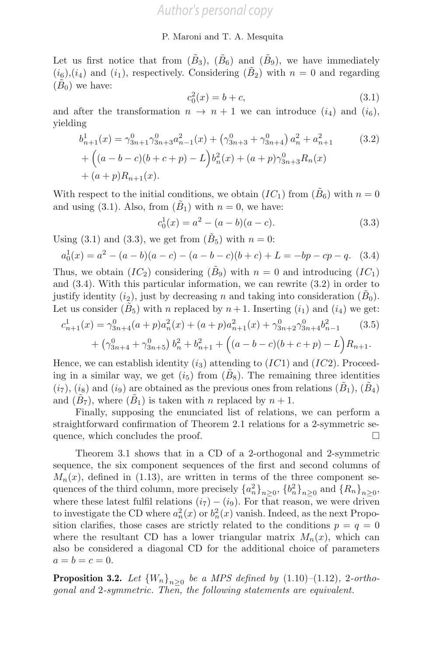Let us first notice that from  $(\tilde{B}_3)$ ,  $(\tilde{B}_6)$  and  $(\tilde{B}_9)$ , we have immediately  $(i_6)$ , $(i_4)$  and  $(i_1)$ , respectively. Considering  $(\tilde{B}_2)$  with  $n = 0$  and regarding  $(B<sub>0</sub>)$  we have:

$$
c_0^2(x) = b + c,\t\t(3.1)
$$

and after the transformation  $n \to n+1$  we can introduce  $(i_4)$  and  $(i_6)$ , yielding

$$
b_{n+1}^1(x) = \gamma_{3n+1}^0 \gamma_{3n+3}^0 a_{n-1}^2(x) + (\gamma_{3n+3}^0 + \gamma_{3n+4}^0) a_n^2 + a_{n+1}^2
$$
 (3.2)  
+ 
$$
\left( (a - b - c)(b + c + p) - L \right) b_n^2(x) + (a + p)\gamma_{3n+3}^0 R_n(x)
$$

$$
+ (a + p)R_{n+1}(x).
$$

With respect to the initial conditions, we obtain  $(IC_1)$  from  $(B_6)$  with  $n = 0$ and using (3.1). Also, from  $(\tilde{B}_1)$  with  $n = 0$ , we have:

$$
c_0^1(x) = a^2 - (a - b)(a - c).
$$
 (3.3)

Using (3.1) and (3.3), we get from  $(B_5)$  with  $n = 0$ :

$$
a_0^1(x) = a^2 - (a - b)(a - c) - (a - b - c)(b + c) + L = -bp - cp - q.
$$
 (3.4)

Thus, we obtain  $(IC_2)$  considering  $(B_9)$  with  $n = 0$  and introducing  $(IC_1)$ and (3.4). With this particular information, we can rewrite (3.2) in order to justify identity  $(i_2)$ , just by decreasing n and taking into consideration  $(B_0)$ . Let us consider  $(B_5)$  with n replaced by  $n+1$ . Inserting  $(i_1)$  and  $(i_4)$  we get:

$$
c_{n+1}^1(x) = \gamma_{3n+4}^0(a+p)a_n^2(x) + (a+p)a_{n+1}^2(x) + \gamma_{3n+2}^0\gamma_{3n+4}^0b_{n-1}^2
$$
 (3.5)  
+  $\left(\gamma_{3n+4}^0 + \gamma_{3n+5}^0\right)b_n^2 + b_{n+1}^2 + \left((a-b-c)(b+c+p) - L\right)R_{n+1}.$ 

Hence, we can establish identity  $(i_3)$  attending to  $(IC1)$  and  $(IC2)$ . Proceeding in a similar way, we get  $(i<sub>5</sub>)$  from  $(B_8)$ . The remaining three identities  $(i_7), (i_8)$  and  $(i_9)$  are obtained as the previous ones from relations  $(B_1), (B_4)$ and  $(B_7)$ , where  $(B_1)$  is taken with n replaced by  $n+1$ .

Finally, supposing the enunciated list of relations, we can perform a straightforward confirmation of Theorem 2.1 relations for a 2-symmetric sequence, which concludes the proof.  $\Box$ 

Theorem 3.1 shows that in a CD of a 2-orthogonal and 2-symmetric sequence, the six component sequences of the first and second columns of  $M_n(x)$ , defined in (1.13), are written in terms of the three component sequences of the third column, more precisely  ${a_n^2}_{n\geq 0}$ ,  ${b_n^2}_{n\geq 0}$  and  ${R_n}_{n\geq 0}$ , where these latest fulfil relations  $(i_7) - (i_9)$ . For that reason, we were driven to investigate the CD where  $a_n^2(x)$  or  $b_n^2(x)$  vanish. Indeed, as the next Proposition clarifies, those cases are strictly related to the conditions  $p = q = 0$ where the resultant CD has a lower triangular matrix  $M_n(x)$ , which can also be considered a diagonal CD for the additional choice of parameters  $a = b = c = 0.$ 

**Proposition 3.2.** Let  ${W_n}_{n>0}$  be a MPS defined by  $(1.10)-(1.12)$ , 2-orthogonal and 2-symmetric. Then, the following statements are equivalent.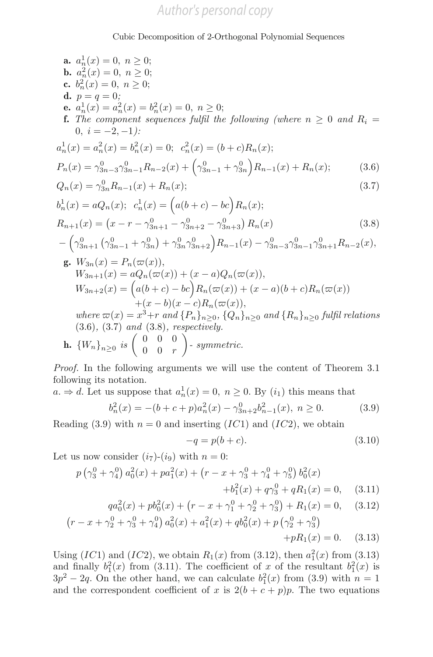**a.** 
$$
a_n^1(x) = 0, n \ge 0;
$$
  
\n**b.**  $a_n^2(x) = 0, n \ge 0;$   
\n**c.**  $b_n^2(x) = 0, n \ge 0;$   
\n**d.**  $p = q = 0;$   
\n**e.**  $a_n^1(x) = a_n^2(x) = b_n^2(x) = 0, n \ge 0;$   
\n**f.** The component sequences fulfill the following (where  $n \ge 0$  and  $R_i = 0, i = -2, -1$ ):  
\n $a_n^1(x) = a_n^2(x) = b_n^2(x) = 0; c_n^2(x) = (b + c)R_n(x);$   
\n $P_n(x) = \gamma_{3n-3}^0 \gamma_{3n-1}^0 R_{n-2}(x) + (\gamma_{3n-1}^0 + \gamma_{3n}^0) R_{n-1}(x) + R_n(x);$  (3.6)  
\n $Q_n(x) = \gamma_{3n}^0 R_{n-1}(x) + R_n(x);$  (3.7)  
\n $b_n^1(x) = aQ_n(x); c_n^1(x) = (a(b + c) - bc)R_n(x);$  (3.7)  
\n $b_n^1(x) = aQ_n(x); c_n^1(x) = (a(b + c) - bc)R_n(x);$  (3.8)  
\n $-(\gamma_{3n+1}^0(\gamma_{3n-1}^0 + \gamma_{3n}^0) + \gamma_{3n}^0 \gamma_{3n+2}^0) R_{n-1}(x) - \gamma_{3n-3}^0 \gamma_{3n-1}^0 \gamma_{3n+1}^0 R_{n-2}(x),$   
\n**g.**  $W_{3n}(x) = P_n(\varpi(x)),$   
\n $W_{3n+1}(x) = aQ_n(\varpi(x)) + (x - a)Q_n(\varpi(x)),$   
\n $W_{3n+2}(x) = (a(b + c) - bc)R_n(\varpi(x)),$   
\n $W_{3n+2}(x) = (a(b + c) - bc)R_n(\varpi(x)),$   
\n $W_{3n+2}(x) = (a(b + c) - bc)R_n(\varpi(x)),$   
\n $W_{3n+2}(x) = a_n^3 + r$  and  $\{P_n\}_{n\ge$ 

Proof. In the following arguments we will use the content of Theorem 3.1 following its notation.

 $a \Rightarrow d$ . Let us suppose that  $a_n^1(x) = 0$ ,  $n \ge 0$ . By  $(i_1)$  this means that

$$
b_n^2(x) = -(b+c+p)a_n^2(x) - \gamma_{3n+2}^0 b_{n-1}^2(x), \ n \ge 0. \tag{3.9}
$$

Reading (3.9) with  $n = 0$  and inserting (IC1) and (IC2), we obtain

$$
-q = p(b+c). \tag{3.10}
$$

Let us now consider  $(i_7)-(i_9)$  with  $n=0$ :

$$
p(\gamma_3^0 + \gamma_4^0) a_0^2(x) + pa_1^2(x) + (r - x + \gamma_3^0 + \gamma_4^0 + \gamma_5^0) b_0^2(x) + b_1^2(x) + q\gamma_3^0 + qR_1(x) = 0, \quad (3.11)
$$

$$
qa_0^2(x) + pb_0^2(x) + \left(r - x + \gamma_1^0 + \gamma_2^0 + \gamma_3^0\right) + R_1(x) = 0,\tag{3.12}
$$

$$
\left(r - x + \gamma_2^0 + \gamma_3^0 + \gamma_4^0\right) a_0^2(x) + a_1^2(x) + q b_0^2(x) + p \left(\gamma_2^0 + \gamma_3^0\right) + p R_1(x) = 0. \tag{3.13}
$$

Using  $(IC1)$  and  $(IC2)$ , we obtain  $R_1(x)$  from  $(3.12)$ , then  $a_1^2(x)$  from  $(3.13)$ and finally  $b_1^2(x)$  from (3.11). The coefficient of x of the resultant  $b_1^2(x)$  is  $3p^2 - 2q$ . On the other hand, we can calculate  $b_1^2(x)$  from (3.9) with  $n = 1$ and the correspondent coefficient of x is  $2(b + c + p)p$ . The two equations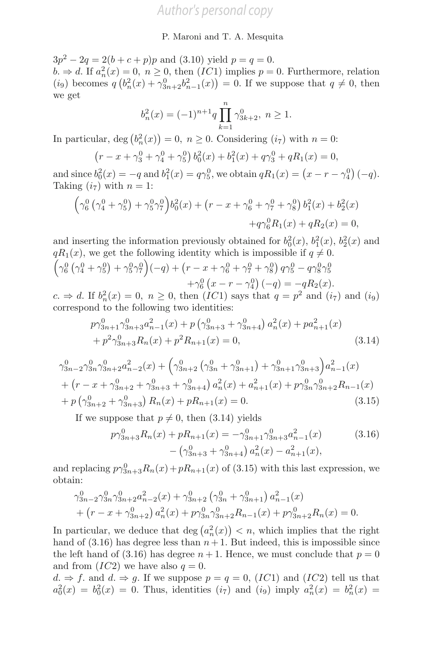$3p^2 - 2q = 2(b + c + p)p$  and (3.10) yield  $p = q = 0$ .  $b. \Rightarrow d.$  If  $a_n^2(x) = 0, n \ge 0$ , then  $(IC1)$  implies  $p = 0$ . Furthermore, relation (*i*<sub>9</sub>) becomes  $q(b_n^2(x) + \gamma_{3n+2}^0 b_{n-1}^2(x)) = 0$ . If we suppose that  $q \neq 0$ , then we get

$$
b_n^2(x) = (-1)^{n+1} q \prod_{k=1}^n \gamma_{3k+2}^0, \ n \ge 1.
$$

In particular,  $\deg (b_n^2(x)) = 0, n \ge 0$ . Considering  $(i_7)$  with  $n = 0$ :

$$
(r - x + \gamma_3^0 + \gamma_4^0 + \gamma_5^0) b_0^2(x) + b_1^2(x) + q\gamma_3^0 + qR_1(x) = 0,
$$

and since  $b_0^2(x) = -q$  and  $b_1^2(x) = q\gamma_5^0$ , we obtain  $qR_1(x) = (x - r - \gamma_4^0)(-q)$ . Taking  $(i_7)$  with  $n = 1$ :

$$
\left(\gamma_6^0 \left(\gamma_4^0 + \gamma_5^0\right) + \gamma_5^0 \gamma_7^0\right) b_0^2(x) + \left(r - x + \gamma_6^0 + \gamma_7^0 + \gamma_8^0\right) b_1^2(x) + b_2^2(x) + q \gamma_6^0 R_1(x) + q R_2(x) = 0,
$$

and inserting the information previously obtained for  $b_0^2(x)$ ,  $b_1^2(x)$ ,  $b_2^2(x)$  and  $qR_1(x)$ , we get the following identity which is impossible if  $q \neq 0$ .  $\left(\gamma_{6}^{0}\left(\gamma_{4}^{0}+\gamma_{5}^{0}\right)+\gamma_{5}^{0}\gamma_{7}^{0}\right)\left(-q\right)+\left(r-x+\gamma_{6}^{0}+\gamma_{7}^{0}+\gamma_{8}^{0}\right)q\gamma_{5}^{0}-q\gamma_{8}^{0}\gamma_{5}^{0}$  $+\gamma_6^0(x-r-\gamma_4^0)(-q) = -qR_2(x).$ 

 $c. \Rightarrow d.$  If  $b_n^2(x) = 0, n \ge 0$ , then  $(IC1)$  says that  $q = p^2$  and  $(i_7)$  and  $(i_9)$ correspond to the following two identities:

$$
p\gamma_{3n+1}^{0}\gamma_{3n+3}^{0}a_{n-1}^{2}(x) + p\left(\gamma_{3n+3}^{0} + \gamma_{3n+4}^{0}\right)a_{n}^{2}(x) + pa_{n+1}^{2}(x) + p^{2}\gamma_{3n+3}^{0}R_{n}(x) + p^{2}R_{n+1}(x) = 0,
$$
\n(3.14)

$$
\gamma_{3n-2}^{0} \gamma_{3n}^{0} \gamma_{3n+2}^{0} a_{n-2}^{2}(x) + \left(\gamma_{3n+2}^{0} \left(\gamma_{3n}^{0} + \gamma_{3n+1}^{0}\right) + \gamma_{3n+1}^{0} \gamma_{3n+3}^{0}\right) a_{n-1}^{2}(x) + \left(r - x + \gamma_{3n+2}^{0} + \gamma_{3n+3}^{0} + \gamma_{3n+4}^{0}\right) a_{n}^{2}(x) + a_{n+1}^{2}(x) + p \gamma_{3n}^{0} \gamma_{3n+2}^{0} R_{n-1}(x) + p \left(\gamma_{3n+2}^{0} + \gamma_{3n+3}^{0}\right) R_{n}(x) + p R_{n+1}(x) = 0.
$$
\n(3.15)

If we suppose that  $p \neq 0$ , then (3.14) yields

$$
p\gamma_{3n+3}^{0}R_n(x) + pR_{n+1}(x) = -\gamma_{3n+1}^{0}\gamma_{3n+3}^{0}a_{n-1}^{2}(x)
$$
\n
$$
-\left(\gamma_{3n+3}^{0} + \gamma_{3n+4}^{0}\right)a_n^{2}(x) - a_{n+1}^{2}(x),
$$
\n(3.16)

and replacing  $p\gamma_{3n+3}^0 R_n(x)+pR_{n+1}(x)$  of (3.15) with this last expression, we obtain:

$$
\gamma_{3n-2}^{0} \gamma_{3n}^{0} \gamma_{3n+2}^{0} a_{n-2}^{2}(x) + \gamma_{3n+2}^{0} \left(\gamma_{3n}^{0} + \gamma_{3n+1}^{0}\right) a_{n-1}^{2}(x) + \left(r - x + \gamma_{3n+2}^{0}\right) a_{n}^{2}(x) + p \gamma_{3n}^{0} \gamma_{3n+2}^{0} R_{n-1}(x) + p \gamma_{3n+2}^{0} R_{n}(x) = 0.
$$

In particular, we deduce that  $\deg(a_n^2(x)) < n$ , which implies that the right hand of  $(3.16)$  has degree less than  $n+1$ . But indeed, this is impossible since the left hand of (3.16) has degree  $n + 1$ . Hence, we must conclude that  $p = 0$ and from  $(IC2)$  we have also  $q = 0$ .

 $d. \Rightarrow f.$  and  $d. \Rightarrow g.$  If we suppose  $p = q = 0$ ,  $(IC1)$  and  $(IC2)$  tell us that  $a_0^2(x) = b_0^2(x) = 0$ . Thus, identities  $(i_7)$  and  $(i_9)$  imply  $a_n^2(x) = b_n^2(x) = 0$ .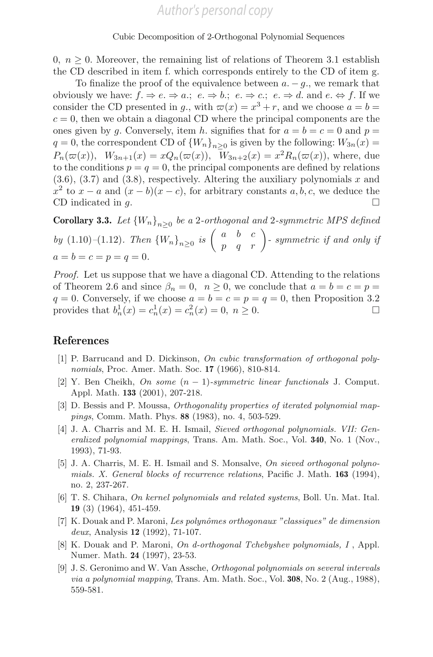0,  $n \geq 0$ . Moreover, the remaining list of relations of Theorem 3.1 establish the CD described in item f. which corresponds entirely to the CD of item g.

To finalize the proof of the equivalence between  $a - q$ , we remark that obviously we have:  $f: \Rightarrow e \Rightarrow a: e \Rightarrow b: e \Rightarrow c: e \Rightarrow d$ . and  $e \Leftrightarrow f$ . If we consider the CD presented in g,, with  $\varpi(x) = x^3 + r$ , and we choose  $a = b =$  $c = 0$ , then we obtain a diagonal CD where the principal components are the ones given by g. Conversely, item h. signifies that for  $a = b = c = 0$  and  $p =$  $q = 0$ , the correspondent CD of  ${W_n}_{n>0}$  is given by the following:  $W_{3n}(x) =$  $P_n(\varpi(x)), W_{3n+1}(x) = xQ_n(\varpi(x)), W_{3n+2}(x) = x^2R_n(\varpi(x)),$  where, due to the conditions  $p = q = 0$ , the principal components are defined by relations  $(3.6), (3.7)$  and  $(3.8)$ , respectively. Altering the auxiliary polynomials x and  $x^2$  to  $x - a$  and  $(x - b)(x - c)$ , for arbitrary constants  $a, b, c$ , we deduce the CD indicated in  $a$ CD indicated in  $q$ .

**Corollary 3.3.** Let  ${W_n}_{n>0}$  be a 2-orthogonal and 2-symmetric MPS defined by (1.10)–(1.12). Then  $\{W_n\}_{n\geq 0}$  is  $\begin{pmatrix} a & b & c \\ p & q & r \end{pmatrix}$ -symmetric if and only if  $a = b = c = p = q = 0.$ 

Proof. Let us suppose that we have a diagonal CD. Attending to the relations of Theorem 2.6 and since  $\beta_n = 0$ ,  $n \geq 0$ , we conclude that  $a = b = c = p =$  $q = 0$ . Conversely, if we choose  $a = b = c = p = q = 0$ , then Proposition 3.2 provides that  $b_n^1(x) = c_n^1(x) = c_n^2(x) = 0, n \ge 0.$ 

### References

- [1] P. Barrucand and D. Dickinson, On cubic transformation of orthogonal polynomials, Proc. Amer. Math. Soc. **17** (1966), 810-814.
- [2] Y. Ben Cheikh, On some  $(n-1)$ -symmetric linear functionals J. Comput. Appl. Math. 133 (2001), 207-218.
- [3] D. Bessis and P. Moussa, Orthogonality properties of iterated polynomial mappings, Comm. Math. Phys. 88 (1983), no. 4, 503-529.
- [4] J. A. Charris and M. E. H. Ismail, Sieved orthogonal polynomials. VII: Generalized polynomial mappings, Trans. Am. Math. Soc., Vol. 340, No. 1 (Nov., 1993), 71-93.
- [5] J. A. Charris, M. E. H. Ismail and S. Monsalve, On sieved orthogonal polynomials. X. General blocks of recurrence relations, Pacific J. Math. 163 (1994), no. 2, 237-267.
- [6] T. S. Chihara, On kernel polynomials and related systems, Boll. Un. Mat. Ital. 19 (3) (1964), 451-459.
- [7] K. Douak and P. Maroni, Les polynômes orthogonaux "classiques" de dimension deux, Analysis 12 (1992), 71-107.
- [8] K. Douak and P. Maroni, On d-orthogonal Tchebyshev polynomials, I, Appl. Numer. Math. 24 (1997), 23-53.
- [9] J. S. Geronimo and W. Van Assche, Orthogonal polynomials on several intervals via a polynomial mapping, Trans. Am. Math. Soc., Vol. 308, No. 2 (Aug., 1988), 559-581.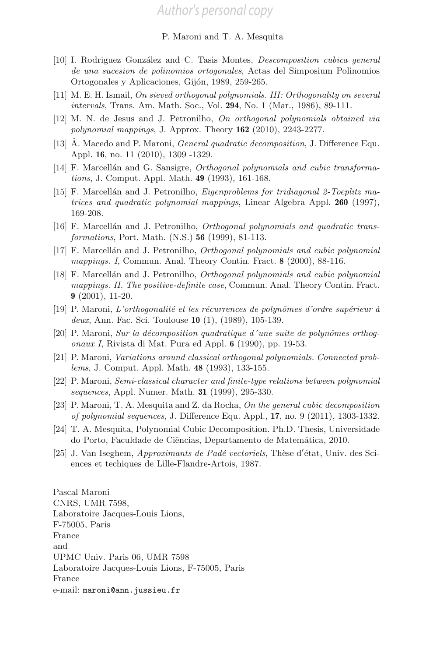- [10] I. Rodriguez González and C. Tasis Montes, *Descomposition cubica general* de una sucesion de polinomios ortogonales, Actas del Simposium Polinomios Ortogonales y Aplicaciones, Gijón, 1989, 259-265.
- [11] M. E. H. Ismail, On sieved orthogonal polynomials. III: Orthogonality on several intervals, Trans. Am. Math. Soc., Vol. 294, No. 1 (Mar., 1986), 89-111.
- [12] M. N. de Jesus and J. Petronilho, On orthogonal polynomials obtained via polynomial mappings, J. Approx. Theory 162 (2010), 2243-2277.
- [13]  $\hat{A}$ . Macedo and P. Maroni, *General quadratic decomposition*, J. Difference Equ. Appl. 16, no. 11 (2010), 1309 -1329.
- [14] F. Marcellán and G. Sansigre, *Orthogonal polynomials and cubic transforma*tions, J. Comput. Appl. Math. 49 (1993), 161-168.
- [15] F. Marcellán and J. Petronilho, *Eigenproblems for tridiagonal 2-Toeplitz ma*trices and quadratic polynomial mappings, Linear Algebra Appl. 260 (1997), 169-208.
- [16] F. Marcellán and J. Petronilho, *Orthogonal polynomials and quadratic trans*formations, Port. Math. (N.S.) 56 (1999), 81-113.
- [17] F. Marcell´an and J. Petronilho, Orthogonal polynomials and cubic polynomial mappings. I, Commun. Anal. Theory Contin. Fract. 8 (2000), 88-116.
- [18] F. Marcellán and J. Petronilho, *Orthogonal polynomials and cubic polynomial* mappings. II. The positive-definite case, Commun. Anal. Theory Contin. Fract. 9 (2001), 11-20.
- [19] P. Maroni, L'orthogonalité et les récurrences de polynômes d'ordre supérieur à deux, Ann. Fac. Sci. Toulouse 10 (1), (1989), 105-139.
- $[20]$  P. Maroni, Sur la décomposition quadratique d'une suite de polynômes orthogonaux I, Rivista di Mat. Pura ed Appl. 6 (1990), pp. 19-53.
- [21] P. Maroni, Variations around classical orthogonal polynomials. Connected problems, J. Comput. Appl. Math. 48 (1993), 133-155.
- [22] P. Maroni, Semi-classical character and finite-type relations between polynomial sequences, Appl. Numer. Math. 31 (1999), 295-330.
- [23] P. Maroni, T. A. Mesquita and Z. da Rocha, On the general cubic decomposition of polynomial sequences, J. Difference Equ. Appl., 17, no. 9 (2011), 1303-1332.
- [24] T. A. Mesquita, Polynomial Cubic Decomposition. Ph.D. Thesis, Universidade do Porto, Faculdade de Ciências, Departamento de Matemática, 2010.
- [25] J. Van Iseghem, *Approximants de Padé vectoriels*, Thèse d'état, Univ. des Sciences et techiques de Lille-Flandre-Artois, 1987.

Pascal Maroni CNRS, UMR 7598, Laboratoire Jacques-Louis Lions, F-75005, Paris France and UPMC Univ. Paris 06, UMR 7598 Laboratoire Jacques-Louis Lions, F-75005, Paris France e-mail: maroni@ann.jussieu.fr